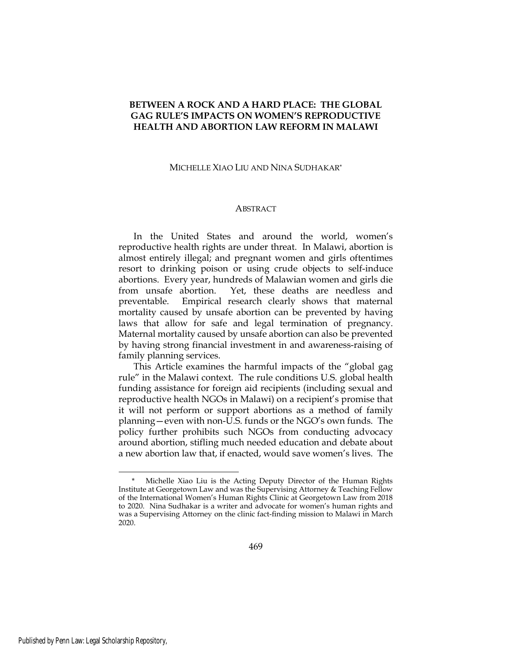# BETWEEN A ROCK AND A HARD PLACE: THE GLOBAL GAG RULE'S IMPACTS ON WOMEN'S REPRODUCTIVE HEALTH AND ABORTION LAW REFORM IN MALAWI

#### MICHELLE XIAO LIU AND NINA SUDHAKAR\*

### ABSTRACT

In the United States and around the world, women's reproductive health rights are under threat. In Malawi, abortion is almost entirely illegal; and pregnant women and girls oftentimes resort to drinking poison or using crude objects to self-induce abortions. Every year, hundreds of Malawian women and girls die from unsafe abortion. Yet, these deaths are needless and preventable. Empirical research clearly shows that maternal mortality caused by unsafe abortion can be prevented by having laws that allow for safe and legal termination of pregnancy. Maternal mortality caused by unsafe abortion can also be prevented by having strong financial investment in and awareness-raising of family planning services.

This Article examines the harmful impacts of the "global gag rule" in the Malawi context. The rule conditions U.S. global health funding assistance for foreign aid recipients (including sexual and reproductive health NGOs in Malawi) on a recipient's promise that it will not perform or support abortions as a method of family planning—even with non-U.S. funds or the NGO's own funds. The policy further prohibits such NGOs from conducting advocacy around abortion, stifling much needed education and debate about a new abortion law that, if enacted, would save women's lives. The

<sup>\*</sup> Michelle Xiao Liu is the Acting Deputy Director of the Human Rights Institute at Georgetown Law and was the Supervising Attorney & Teaching Fellow of the International Women's Human Rights Clinic at Georgetown Law from 2018 to 2020. Nina Sudhakar is a writer and advocate for women's human rights and was a Supervising Attorney on the clinic fact-finding mission to Malawi in March 2020.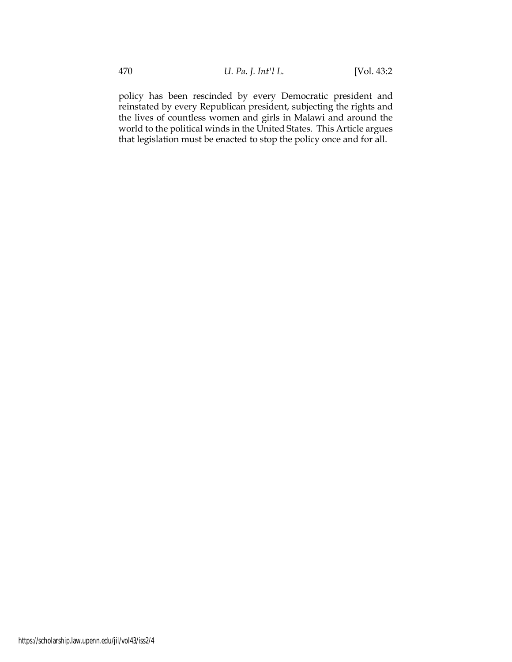policy has been rescinded by every Democratic president and reinstated by every Republican president, subjecting the rights and the lives of countless women and girls in Malawi and around the world to the political winds in the United States. This Article argues that legislation must be enacted to stop the policy once and for all.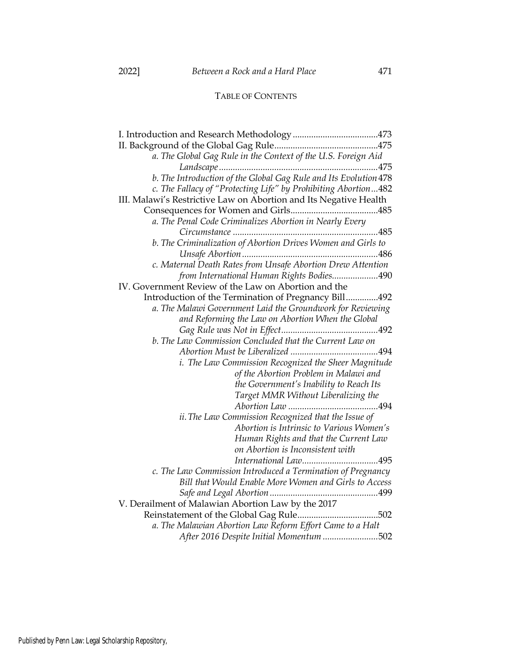# TABLE OF CONTENTS

| a. The Global Gag Rule in the Context of the U.S. Foreign Aid     |
|-------------------------------------------------------------------|
|                                                                   |
| b. The Introduction of the Global Gag Rule and Its Evolution 478  |
| c. The Fallacy of "Protecting Life" by Prohibiting Abortion482    |
| III. Malawi's Restrictive Law on Abortion and Its Negative Health |
|                                                                   |
| a. The Penal Code Criminalizes Abortion in Nearly Every           |
|                                                                   |
| b. The Criminalization of Abortion Drives Women and Girls to      |
|                                                                   |
| c. Maternal Death Rates from Unsafe Abortion Drew Attention       |
| from International Human Rights Bodies490                         |
| IV. Government Review of the Law on Abortion and the              |
| Introduction of the Termination of Pregnancy Bill492              |
| a. The Malawi Government Laid the Groundwork for Reviewing        |
| and Reforming the Law on Abortion When the Global                 |
|                                                                   |
| b. The Law Commission Concluded that the Current Law on           |
|                                                                   |
| i. The Law Commission Recognized the Sheer Magnitude              |
| of the Abortion Problem in Malawi and                             |
| the Government's Inability to Reach Its                           |
| Target MMR Without Liberalizing the                               |
|                                                                   |
| ii. The Law Commission Recognized that the Issue of               |
| Abortion is Intrinsic to Various Women's                          |
| Human Rights and that the Current Law                             |
| on Abortion is Inconsistent with                                  |
|                                                                   |
| c. The Law Commission Introduced a Termination of Pregnancy       |
| Bill that Would Enable More Women and Girls to Access             |
|                                                                   |
| V. Derailment of Malawian Abortion Law by the 2017                |
|                                                                   |
| a. The Malawian Abortion Law Reform Effort Came to a Halt         |
| After 2016 Despite Initial Momentum 502                           |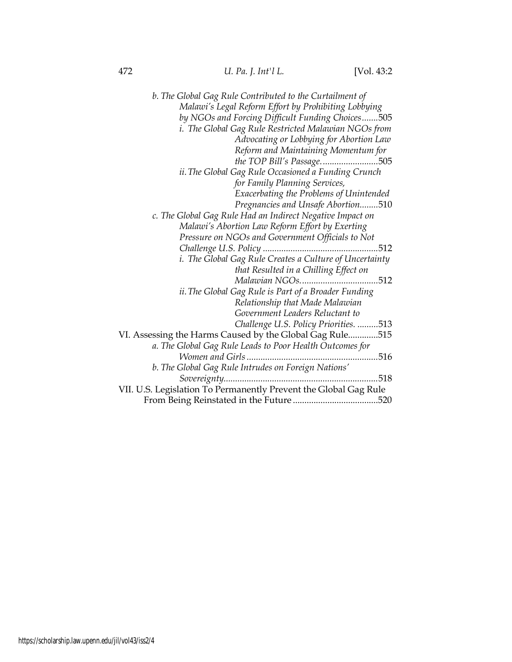| b. The Global Gag Rule Contributed to the Curtailment of         |
|------------------------------------------------------------------|
| Malawi's Legal Reform Effort by Prohibiting Lobbying             |
| by NGOs and Forcing Difficult Funding Choices505                 |
| i. The Global Gag Rule Restricted Malawian NGOs from             |
| Advocating or Lobbying for Abortion Law                          |
| Reform and Maintaining Momentum for                              |
| the TOP Bill's Passage505                                        |
| ii. The Global Gag Rule Occasioned a Funding Crunch              |
| for Family Planning Services,                                    |
| Exacerbating the Problems of Unintended                          |
| Pregnancies and Unsafe Abortion510                               |
| c. The Global Gag Rule Had an Indirect Negative Impact on        |
| Malawi's Abortion Law Reform Effort by Exerting                  |
| Pressure on NGOs and Government Officials to Not                 |
| .512                                                             |
| i. The Global Gag Rule Creates a Culture of Uncertainty          |
| that Resulted in a Chilling Effect on                            |
|                                                                  |
| ii. The Global Gag Rule is Part of a Broader Funding             |
| Relationship that Made Malawian                                  |
| Government Leaders Reluctant to                                  |
| Challenge U.S. Policy Priorities. 513                            |
| VI. Assessing the Harms Caused by the Global Gag Rule515         |
| a. The Global Gag Rule Leads to Poor Health Outcomes for         |
| 516                                                              |
| b. The Global Gag Rule Intrudes on Foreign Nations'              |
| 518                                                              |
| VII. U.S. Legislation To Permanently Prevent the Global Gag Rule |
|                                                                  |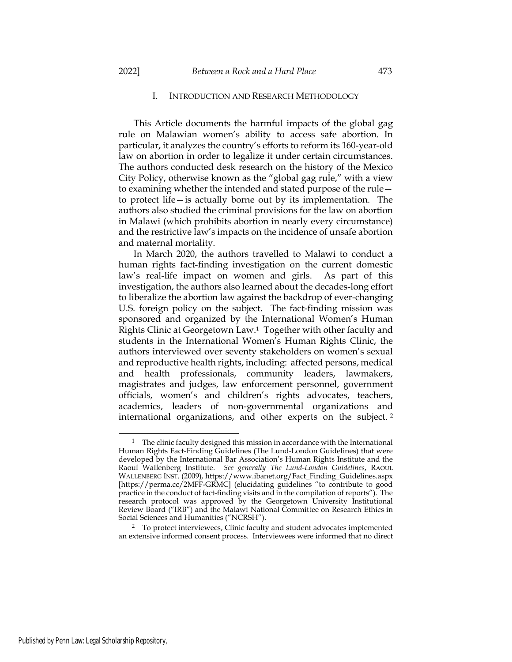### I. INTRODUCTION AND RESEARCH METHODOLOGY

This Article documents the harmful impacts of the global gag rule on Malawian women's ability to access safe abortion. In particular, it analyzes the country's efforts to reform its 160-year-old law on abortion in order to legalize it under certain circumstances. The authors conducted desk research on the history of the Mexico City Policy, otherwise known as the "global gag rule," with a view to examining whether the intended and stated purpose of the rule to protect life—is actually borne out by its implementation. The authors also studied the criminal provisions for the law on abortion in Malawi (which prohibits abortion in nearly every circumstance) and the restrictive law's impacts on the incidence of unsafe abortion and maternal mortality.

In March 2020, the authors travelled to Malawi to conduct a human rights fact-finding investigation on the current domestic law's real-life impact on women and girls. As part of this investigation, the authors also learned about the decades-long effort to liberalize the abortion law against the backdrop of ever-changing U.S. foreign policy on the subject. The fact-finding mission was sponsored and organized by the International Women's Human Rights Clinic at Georgetown Law.1 Together with other faculty and students in the International Women's Human Rights Clinic, the authors interviewed over seventy stakeholders on women's sexual and reproductive health rights, including: affected persons, medical and health professionals, community leaders, lawmakers, magistrates and judges, law enforcement personnel, government officials, women's and children's rights advocates, teachers, academics, leaders of non-governmental organizations and international organizations, and other experts on the subject. <sup>2</sup>

<sup>&</sup>lt;sup>1</sup> The clinic faculty designed this mission in accordance with the International Human Rights Fact-Finding Guidelines (The Lund-London Guidelines) that were developed by the International Bar Association's Human Rights Institute and the Raoul Wallenberg Institute. See generally The Lund-London Guidelines, RAOUL WALLENBERG INST. (2009), https://www.ibanet.org/Fact\_Finding\_Guidelines.aspx [https://perma.cc/2MFF-GRMC] (elucidating guidelines "to contribute to good practice in the conduct of fact-finding visits and in the compilation of reports"). The research protocol was approved by the Georgetown University Institutional Review Board ("IRB") and the Malawi National Committee on Research Ethics in Social Sciences and Humanities ("NCRSH").

<sup>&</sup>lt;sup>2</sup> To protect interviewees, Clinic faculty and student advocates implemented an extensive informed consent process. Interviewees were informed that no direct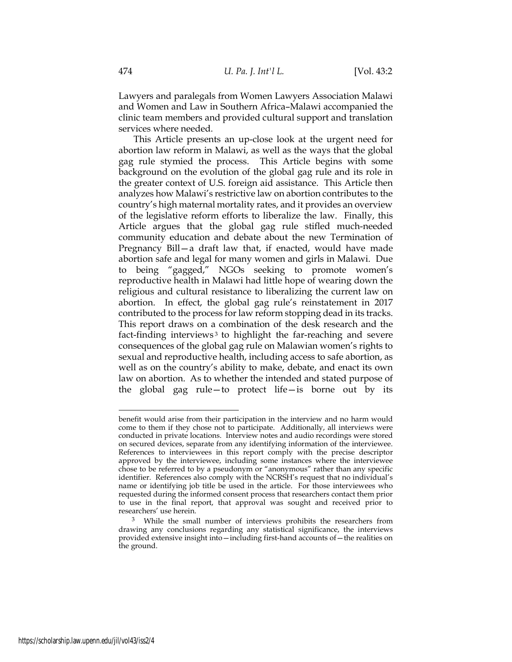Lawyers and paralegals from Women Lawyers Association Malawi and Women and Law in Southern Africa–Malawi accompanied the clinic team members and provided cultural support and translation services where needed.

This Article presents an up-close look at the urgent need for abortion law reform in Malawi, as well as the ways that the global gag rule stymied the process. This Article begins with some background on the evolution of the global gag rule and its role in the greater context of U.S. foreign aid assistance. This Article then analyzes how Malawi's restrictive law on abortion contributes to the country's high maternal mortality rates, and it provides an overview of the legislative reform efforts to liberalize the law. Finally, this Article argues that the global gag rule stifled much-needed community education and debate about the new Termination of Pregnancy Bill—a draft law that, if enacted, would have made abortion safe and legal for many women and girls in Malawi. Due to being "gagged," NGOs seeking to promote women's reproductive health in Malawi had little hope of wearing down the religious and cultural resistance to liberalizing the current law on abortion. In effect, the global gag rule's reinstatement in 2017 contributed to the process for law reform stopping dead in its tracks. This report draws on a combination of the desk research and the fact-finding interviews<sup>3</sup> to highlight the far-reaching and severe consequences of the global gag rule on Malawian women's rights to sexual and reproductive health, including access to safe abortion, as well as on the country's ability to make, debate, and enact its own law on abortion. As to whether the intended and stated purpose of the global gag rule—to protect life—is borne out by its

benefit would arise from their participation in the interview and no harm would come to them if they chose not to participate. Additionally, all interviews were conducted in private locations. Interview notes and audio recordings were stored on secured devices, separate from any identifying information of the interviewee. References to interviewees in this report comply with the precise descriptor approved by the interviewee, including some instances where the interviewee chose to be referred to by a pseudonym or "anonymous" rather than any specific identifier. References also comply with the NCRSH's request that no individual's name or identifying job title be used in the article. For those interviewees who requested during the informed consent process that researchers contact them prior to use in the final report, that approval was sought and received prior to researchers' use herein.

<sup>&</sup>lt;sup>3</sup> While the small number of interviews prohibits the researchers from drawing any conclusions regarding any statistical significance, the interviews provided extensive insight into—including first-hand accounts of—the realities on the ground.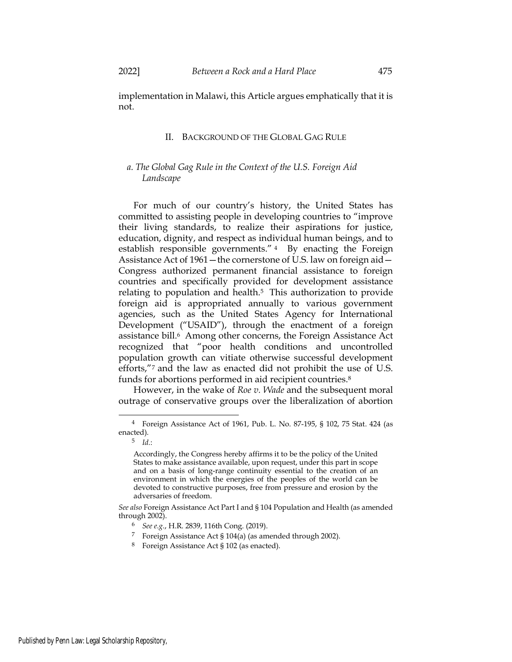### II. BACKGROUND OF THE GLOBAL GAG RULE

## a. The Global Gag Rule in the Context of the U.S. Foreign Aid Landscape

For much of our country's history, the United States has committed to assisting people in developing countries to "improve their living standards, to realize their aspirations for justice, education, dignity, and respect as individual human beings, and to establish responsible governments." <sup>4</sup> By enacting the Foreign Assistance Act of 1961—the cornerstone of U.S. law on foreign aid— Congress authorized permanent financial assistance to foreign countries and specifically provided for development assistance relating to population and health.5 This authorization to provide foreign aid is appropriated annually to various government agencies, such as the United States Agency for International Development ("USAID"), through the enactment of a foreign assistance bill.<sup>6</sup> Among other concerns, the Foreign Assistance Act recognized that "poor health conditions and uncontrolled population growth can vitiate otherwise successful development efforts,"7 and the law as enacted did not prohibit the use of U.S. funds for abortions performed in aid recipient countries.<sup>8</sup>

However, in the wake of Roe v. Wade and the subsequent moral outrage of conservative groups over the liberalization of abortion

- <sup>7</sup> Foreign Assistance Act § 104(a) (as amended through 2002).
- <sup>8</sup> Foreign Assistance Act § 102 (as enacted).

<sup>4</sup> Foreign Assistance Act of 1961, Pub. L. No. 87-195, § 102, 75 Stat. 424 (as enacted).

 $5$  Id.:

Accordingly, the Congress hereby affirms it to be the policy of the United States to make assistance available, upon request, under this part in scope and on a basis of long-range continuity essential to the creation of an environment in which the energies of the peoples of the world can be devoted to constructive purposes, free from pressure and erosion by the adversaries of freedom.

See also Foreign Assistance Act Part I and § 104 Population and Health (as amended through 2002).

<sup>6</sup> See e.g., H.R. 2839, 116th Cong. (2019).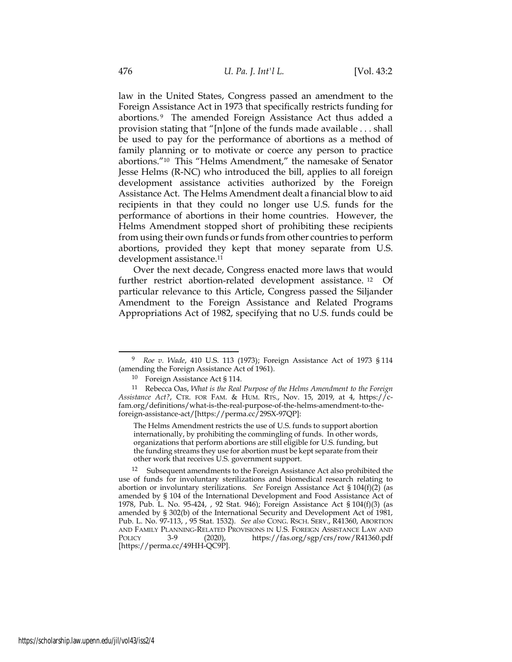law in the United States, Congress passed an amendment to the Foreign Assistance Act in 1973 that specifically restricts funding for abortions. <sup>9</sup> The amended Foreign Assistance Act thus added a provision stating that "[n]one of the funds made available . . . shall be used to pay for the performance of abortions as a method of family planning or to motivate or coerce any person to practice abortions."10 This "Helms Amendment," the namesake of Senator Jesse Helms (R-NC) who introduced the bill, applies to all foreign development assistance activities authorized by the Foreign Assistance Act. The Helms Amendment dealt a financial blow to aid recipients in that they could no longer use U.S. funds for the performance of abortions in their home countries. However, the Helms Amendment stopped short of prohibiting these recipients from using their own funds or funds from other countries to perform abortions, provided they kept that money separate from U.S. development assistance.<sup>11</sup>

Over the next decade, Congress enacted more laws that would further restrict abortion-related development assistance. 12 Of particular relevance to this Article, Congress passed the Siljander Amendment to the Foreign Assistance and Related Programs Appropriations Act of 1982, specifying that no U.S. funds could be

Roe v. Wade, 410 U.S. 113 (1973); Foreign Assistance Act of 1973 § 114 (amending the Foreign Assistance Act of 1961).

<sup>10</sup> Foreign Assistance Act § 114.

<sup>11</sup> Rebecca Oas, What is the Real Purpose of the Helms Amendment to the Foreign Assistance Act?, CTR. FOR FAM. & HUM. RTS., Nov. 15, 2019, at 4, https://cfam.org/definitions/what-is-the-real-purpose-of-the-helms-amendment-to-theforeign-assistance-act/[https://perma.cc/29SX-97QP]:

The Helms Amendment restricts the use of U.S. funds to support abortion internationally, by prohibiting the commingling of funds. In other words, organizations that perform abortions are still eligible for U.S. funding, but the funding streams they use for abortion must be kept separate from their other work that receives U.S. government support.

<sup>&</sup>lt;sup>12</sup> Subsequent amendments to the Foreign Assistance Act also prohibited the use of funds for involuntary sterilizations and biomedical research relating to abortion or involuntary sterilizations. See Foreign Assistance Act  $\S 104(f)(2)$  (as amended by § 104 of the International Development and Food Assistance Act of 1978, Pub. L. No. 95-424, , 92 Stat. 946); Foreign Assistance Act § 104(f)(3) (as amended by § 302(b) of the International Security and Development Act of 1981, Pub. L. No. 97-113, , 95 Stat. 1532). See also CONG. RSCH. SERV., R41360, ABORTION AND FAMILY PLANNING-RELATED PROVISIONS IN U.S. FOREIGN ASSISTANCE LAW AND POLICY 3-9 (2020), https://fas.org/sgp/crs/row/R41360.pdf [https://perma.cc/49HH-QC9P].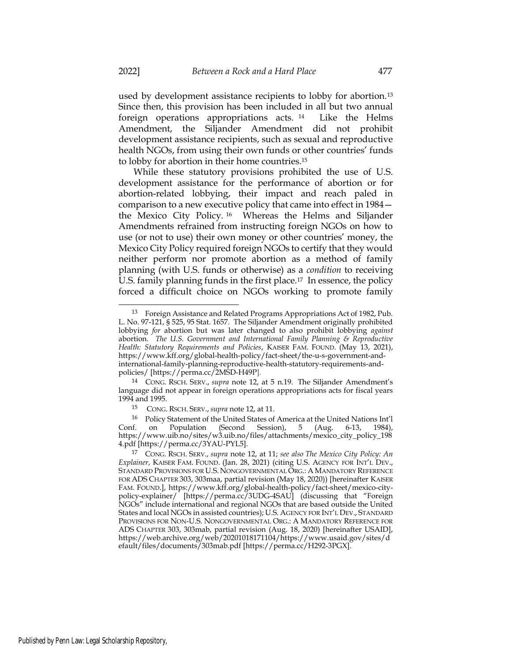used by development assistance recipients to lobby for abortion.<sup>13</sup> Since then, this provision has been included in all but two annual foreign operations appropriations acts. <sup>14</sup> Like the Helms Amendment, the Siljander Amendment did not prohibit development assistance recipients, such as sexual and reproductive health NGOs, from using their own funds or other countries' funds to lobby for abortion in their home countries.<sup>15</sup>

While these statutory provisions prohibited the use of U.S. development assistance for the performance of abortion or for abortion-related lobbying, their impact and reach paled in comparison to a new executive policy that came into effect in 1984 the Mexico City Policy. <sup>16</sup> Whereas the Helms and Siljander Amendments refrained from instructing foreign NGOs on how to use (or not to use) their own money or other countries' money, the Mexico City Policy required foreign NGOs to certify that they would neither perform nor promote abortion as a method of family planning (with U.S. funds or otherwise) as a condition to receiving U.S. family planning funds in the first place.17 In essence, the policy forced a difficult choice on NGOs working to promote family

<sup>13</sup> Foreign Assistance and Related Programs Appropriations Act of 1982, Pub. L. No. 97-121, § 525, 95 Stat. 1657. The Siljander Amendment originally prohibited lobbying for abortion but was later changed to also prohibit lobbying against abortion. The U.S. Government and International Family Planning  $\mathcal E$  Reproductive Health: Statutory Requirements and Policies, KAISER FAM. FOUND. (May 13, 2021), https://www.kff.org/global-health-policy/fact-sheet/the-u-s-government-andinternational-family-planning-reproductive-health-statutory-requirements-andpolicies/ [https://perma.cc/2MSD-H49P].

<sup>&</sup>lt;sup>14</sup> CONG. RSCH. SERV., supra note 12, at 5 n.19. The Siljander Amendment's language did not appear in foreign operations appropriations acts for fiscal years 1994 and 1995.

<sup>15</sup> CONG. RSCH. SERV., supra note 12, at 11.

<sup>16</sup> Policy Statement of the United States of America at the United Nations Int'l Conf. on Population (Second Session), 5 (Aug. 6-13, 1984), https://www.uib.no/sites/w3.uib.no/files/attachments/mexico\_city\_policy\_198 4.pdf [https://perma.cc/3YAU-PYL5].

<sup>17</sup> CONG. RSCH. SERV., supra note 12, at 11; see also The Mexico City Policy: An Explainer, KAISER FAM. FOUND. (Jan. 28, 2021) (citing U.S. AGENCY FOR INT'L DEV., STANDARD PROVISIONS FOR U.S. NONGOVERNMENTAL ORG.: A MANDATORY REFERENCE FOR ADS CHAPTER 303, 303maa, partial revision (May 18, 2020)) [hereinafter KAISER FAM. FOUND.], https://www.kff.org/global-health-policy/fact-sheet/mexico-citypolicy-explainer/ [https://perma.cc/3UDG-4SAU] (discussing that "Foreign NGOs" include international and regional NGOs that are based outside the United States and local NGOs in assisted countries); U.S. AGENCY FOR INT'L DEV., STANDARD PROVISIONS FOR NON-U.S. NONGOVERNMENTAL ORG.: A MANDATORY REFERENCE FOR ADS CHAPTER 303, 303mab, partial revision (Aug. 18, 2020) [hereinafter USAID], https://web.archive.org/web/20201018171104/https://www.usaid.gov/sites/d efault/files/documents/303mab.pdf [https://perma.cc/H292-3PGX].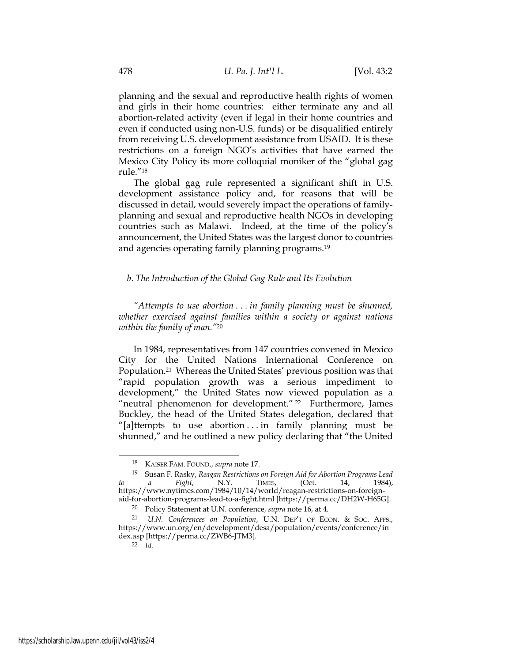planning and the sexual and reproductive health rights of women and girls in their home countries: either terminate any and all abortion-related activity (even if legal in their home countries and even if conducted using non-U.S. funds) or be disqualified entirely from receiving U.S. development assistance from USAID. It is these restrictions on a foreign NGO's activities that have earned the Mexico City Policy its more colloquial moniker of the "global gag rule."<sup>18</sup>

The global gag rule represented a significant shift in U.S. development assistance policy and, for reasons that will be discussed in detail, would severely impact the operations of familyplanning and sexual and reproductive health NGOs in developing countries such as Malawi. Indeed, at the time of the policy's announcement, the United States was the largest donor to countries and agencies operating family planning programs.<sup>19</sup>

### b. The Introduction of the Global Gag Rule and Its Evolution

"Attempts to use abortion . . . in family planning must be shunned, whether exercised against families within a society or against nations within the family of man."<sup>20</sup>

In 1984, representatives from 147 countries convened in Mexico City for the United Nations International Conference on Population.21 Whereas the United States' previous position was that "rapid population growth was a serious impediment to development," the United States now viewed population as a "neutral phenomenon for development." <sup>22</sup> Furthermore, James Buckley, the head of the United States delegation, declared that "[a]ttempts to use abortion . . . in family planning must be shunned," and he outlined a new policy declaring that "the United

<sup>&</sup>lt;sup>18</sup> KAISER FAM. FOUND., supra note 17.

<sup>19</sup> Susan F. Rasky, Reagan Restrictions on Foreign Aid for Abortion Programs Lead to a Fight, N.Y. TIMES, (Oct. 14, 1984), https://www.nytimes.com/1984/10/14/world/reagan-restrictions-on-foreignaid-for-abortion-programs-lead-to-a-fight.html [https://perma.cc/DH2W-H65G].

<sup>&</sup>lt;sup>20</sup> Policy Statement at U.N. conference, *supra* note 16, at 4.

<sup>21</sup> U.N. Conferences on Population, U.N. DEP'T OF ECON. & SOC. AFFS., https://www.un.org/en/development/desa/population/events/conference/in dex.asp [https://perma.cc/ZWB6-JTM3].

<sup>22</sup> Id.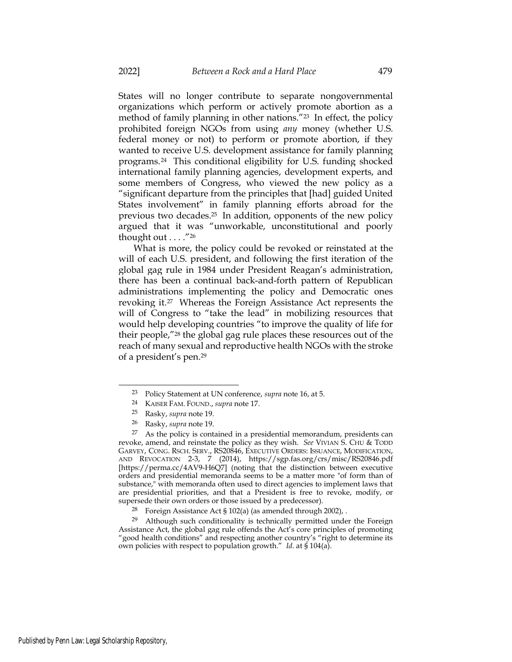States will no longer contribute to separate nongovernmental organizations which perform or actively promote abortion as a method of family planning in other nations."23 In effect, the policy prohibited foreign NGOs from using any money (whether U.S. federal money or not) to perform or promote abortion, if they wanted to receive U.S. development assistance for family planning programs.24 This conditional eligibility for U.S. funding shocked international family planning agencies, development experts, and some members of Congress, who viewed the new policy as a "significant departure from the principles that [had] guided United States involvement" in family planning efforts abroad for the previous two decades.25 In addition, opponents of the new policy argued that it was "unworkable, unconstitutional and poorly thought out  $\dots$ ."26

What is more, the policy could be revoked or reinstated at the will of each U.S. president, and following the first iteration of the global gag rule in 1984 under President Reagan's administration, there has been a continual back-and-forth pattern of Republican administrations implementing the policy and Democratic ones revoking it.27 Whereas the Foreign Assistance Act represents the will of Congress to "take the lead" in mobilizing resources that would help developing countries "to improve the quality of life for their people,"28 the global gag rule places these resources out of the reach of many sexual and reproductive health NGOs with the stroke of a president's pen.<sup>29</sup>

<sup>23</sup> Policy Statement at UN conference, supra note 16, at 5.

<sup>24</sup> KAISER FAM. FOUND., supra note 17.

<sup>25</sup> Rasky, supra note 19.

<sup>26</sup> Rasky, supra note 19.

 $27$  As the policy is contained in a presidential memorandum, presidents can revoke, amend, and reinstate the policy as they wish. See VIVIAN S. CHU & TODD GARVEY, CONG. RSCH. SERV., RS20846, EXECUTIVE ORDERS: ISSUANCE, MODIFICATION, AND REVOCATION 2-3, 7 (2014), https://sgp.fas.org/crs/misc/RS20846.pdf [https://perma.cc/4AV9-H6Q7] (noting that the distinction between executive orders and presidential memoranda seems to be a matter more "of form than of substance," with memoranda often used to direct agencies to implement laws that are presidential priorities, and that a President is free to revoke, modify, or supersede their own orders or those issued by a predecessor).

<sup>28</sup> Foreign Assistance Act § 102(a) (as amended through 2002), .

<sup>29</sup> Although such conditionality is technically permitted under the Foreign Assistance Act, the global gag rule offends the Act's core principles of promoting "good health conditions" and respecting another country's "right to determine its own policies with respect to population growth." Id. at  $\frac{1}{5}$  104(a).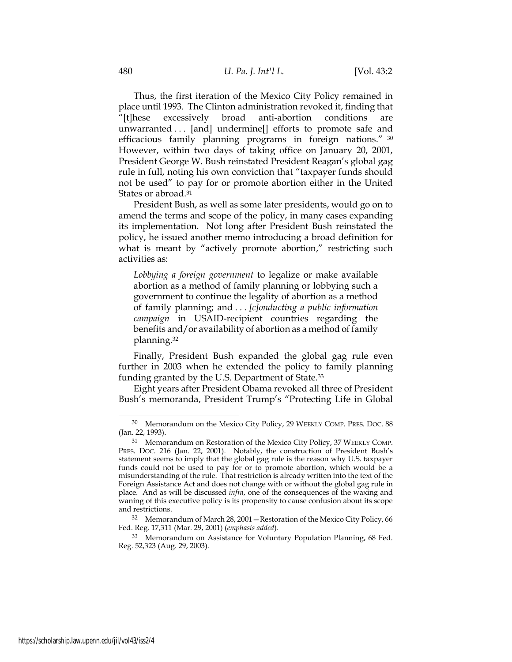Thus, the first iteration of the Mexico City Policy remained in place until 1993. The Clinton administration revoked it, finding that "[t]hese excessively broad anti-abortion conditions are unwarranted . . . [and] undermine[] efforts to promote safe and efficacious family planning programs in foreign nations." <sup>30</sup> However, within two days of taking office on January 20, 2001, President George W. Bush reinstated President Reagan's global gag rule in full, noting his own conviction that "taxpayer funds should not be used" to pay for or promote abortion either in the United States or abroad.<sup>31</sup>

President Bush, as well as some later presidents, would go on to amend the terms and scope of the policy, in many cases expanding its implementation. Not long after President Bush reinstated the policy, he issued another memo introducing a broad definition for what is meant by "actively promote abortion," restricting such activities as:

Lobbying a foreign government to legalize or make available abortion as a method of family planning or lobbying such a government to continue the legality of abortion as a method of family planning; and . . . [c]onducting a public information campaign in USAID-recipient countries regarding the benefits and/or availability of abortion as a method of family planning.<sup>32</sup>

Finally, President Bush expanded the global gag rule even further in 2003 when he extended the policy to family planning funding granted by the U.S. Department of State.<sup>33</sup>

Eight years after President Obama revoked all three of President Bush's memoranda, President Trump's "Protecting Life in Global

<sup>&</sup>lt;sup>30</sup> Memorandum on the Mexico City Policy, 29 WEEKLY COMP. PRES. DOC. 88 (Jan. 22, 1993).

<sup>31</sup> Memorandum on Restoration of the Mexico City Policy, 37 WEEKLY COMP. PRES. DOC. 216 (Jan. 22, 2001). Notably, the construction of President Bush's statement seems to imply that the global gag rule is the reason why U.S. taxpayer funds could not be used to pay for or to promote abortion, which would be a misunderstanding of the rule. That restriction is already written into the text of the Foreign Assistance Act and does not change with or without the global gag rule in place. And as will be discussed infra, one of the consequences of the waxing and waning of this executive policy is its propensity to cause confusion about its scope and restrictions.

<sup>32</sup> Memorandum of March 28, 2001—Restoration of the Mexico City Policy, 66 Fed. Reg. 17,311 (Mar. 29, 2001) (emphasis added).

<sup>33</sup> Memorandum on Assistance for Voluntary Population Planning, 68 Fed. Reg. 52,323 (Aug. 29, 2003).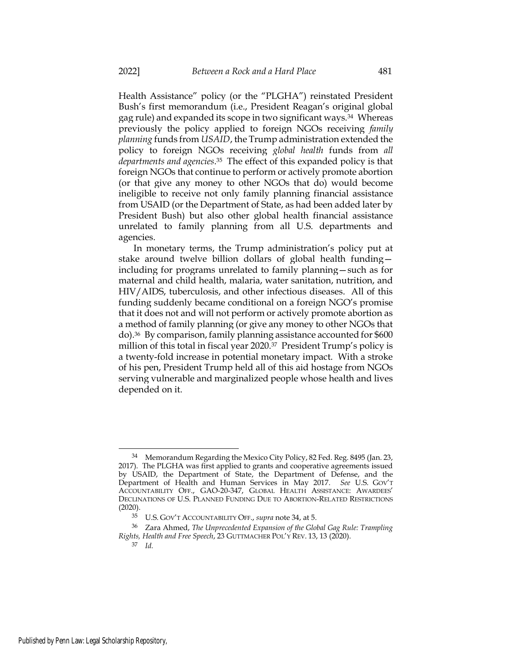Health Assistance" policy (or the "PLGHA") reinstated President Bush's first memorandum (i.e., President Reagan's original global gag rule) and expanded its scope in two significant ways.34 Whereas previously the policy applied to foreign NGOs receiving family planning funds from USAID, the Trump administration extended the policy to foreign NGOs receiving global health funds from all departments and agencies. <sup>35</sup> The effect of this expanded policy is that foreign NGOs that continue to perform or actively promote abortion (or that give any money to other NGOs that do) would become ineligible to receive not only family planning financial assistance from USAID (or the Department of State, as had been added later by President Bush) but also other global health financial assistance unrelated to family planning from all U.S. departments and agencies.

In monetary terms, the Trump administration's policy put at stake around twelve billion dollars of global health funding including for programs unrelated to family planning—such as for maternal and child health, malaria, water sanitation, nutrition, and HIV/AIDS, tuberculosis, and other infectious diseases. All of this funding suddenly became conditional on a foreign NGO's promise that it does not and will not perform or actively promote abortion as a method of family planning (or give any money to other NGOs that do).36 By comparison, family planning assistance accounted for \$600 million of this total in fiscal year 2020.37 President Trump's policy is a twenty-fold increase in potential monetary impact. With a stroke of his pen, President Trump held all of this aid hostage from NGOs serving vulnerable and marginalized people whose health and lives depended on it.

<sup>34</sup> Memorandum Regarding the Mexico City Policy, 82 Fed. Reg. 8495 (Jan. 23, 2017). The PLGHA was first applied to grants and cooperative agreements issued by USAID, the Department of State, the Department of Defense, and the Department of Health and Human Services in May 2017. See U.S. GOV'T ACCOUNTABILITY OFF., GAO-20-347, GLOBAL HEALTH ASSISTANCE: AWARDEES' DECLINATIONS OF U.S. PLANNED FUNDING DUE TO ABORTION-RELATED RESTRICTIONS (2020).

<sup>35</sup> U.S. GOV'T ACCOUNTABILITY OFF., supra note 34, at 5.

<sup>36</sup> Zara Ahmed, The Unprecedented Expansion of the Global Gag Rule: Trampling Rights, Health and Free Speech, 23 GUTTMACHER POL'Y REV. 13, 13 (2020).

<sup>37</sup> Id.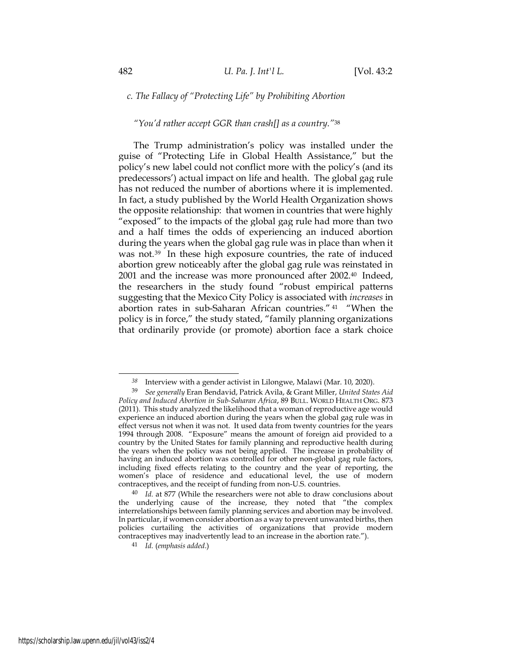## c. The Fallacy of "Protecting Life" by Prohibiting Abortion

## "You'd rather accept GGR than crash[] as a country."<sup>38</sup>

The Trump administration's policy was installed under the guise of "Protecting Life in Global Health Assistance," but the policy's new label could not conflict more with the policy's (and its predecessors') actual impact on life and health. The global gag rule has not reduced the number of abortions where it is implemented. In fact, a study published by the World Health Organization shows the opposite relationship: that women in countries that were highly "exposed" to the impacts of the global gag rule had more than two and a half times the odds of experiencing an induced abortion during the years when the global gag rule was in place than when it was not.<sup>39</sup> In these high exposure countries, the rate of induced abortion grew noticeably after the global gag rule was reinstated in 2001 and the increase was more pronounced after 2002.40 Indeed, the researchers in the study found "robust empirical patterns suggesting that the Mexico City Policy is associated with increases in abortion rates in sub-Saharan African countries." <sup>41</sup> "When the policy is in force," the study stated, "family planning organizations that ordinarily provide (or promote) abortion face a stark choice

 $38$  Interview with a gender activist in Lilongwe, Malawi (Mar. 10, 2020).

<sup>39</sup> See generally Eran Bendavid, Patrick Avila, & Grant Miller, United States Aid Policy and Induced Abortion in Sub-Saharan Africa, 89 BULL. WORLD HEALTH ORG. 873 (2011). This study analyzed the likelihood that a woman of reproductive age would experience an induced abortion during the years when the global gag rule was in effect versus not when it was not. It used data from twenty countries for the years 1994 through 2008. "Exposure" means the amount of foreign aid provided to a country by the United States for family planning and reproductive health during the years when the policy was not being applied. The increase in probability of having an induced abortion was controlled for other non-global gag rule factors, including fixed effects relating to the country and the year of reporting, the women's place of residence and educational level, the use of modern contraceptives, and the receipt of funding from non-U.S. countries.

 $40$  Id. at 877 (While the researchers were not able to draw conclusions about the underlying cause of the increase, they noted that "the complex interrelationships between family planning services and abortion may be involved. In particular, if women consider abortion as a way to prevent unwanted births, then policies curtailing the activities of organizations that provide modern contraceptives may inadvertently lead to an increase in the abortion rate.").

<sup>41</sup> Id. (emphasis added.)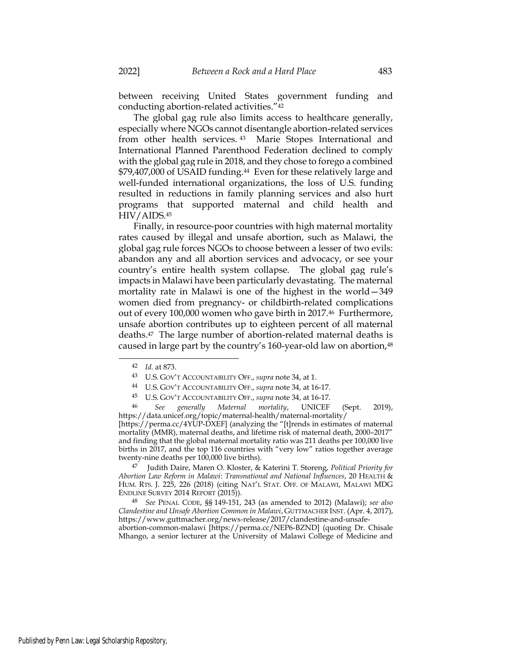between receiving United States government funding and conducting abortion-related activities."<sup>42</sup>

The global gag rule also limits access to healthcare generally, especially where NGOs cannot disentangle abortion-related services from other health services. <sup>43</sup> Marie Stopes International and International Planned Parenthood Federation declined to comply with the global gag rule in 2018, and they chose to forego a combined \$79,407,000 of USAID funding.44 Even for these relatively large and well-funded international organizations, the loss of U.S. funding resulted in reductions in family planning services and also hurt programs that supported maternal and child health and HIV/AIDS.<sup>45</sup>

Finally, in resource-poor countries with high maternal mortality rates caused by illegal and unsafe abortion, such as Malawi, the global gag rule forces NGOs to choose between a lesser of two evils: abandon any and all abortion services and advocacy, or see your country's entire health system collapse. The global gag rule's impacts in Malawi have been particularly devastating. The maternal mortality rate in Malawi is one of the highest in the world—349 women died from pregnancy- or childbirth-related complications out of every 100,000 women who gave birth in 2017.46 Furthermore, unsafe abortion contributes up to eighteen percent of all maternal deaths.47 The large number of abortion-related maternal deaths is caused in large part by the country's 160-year-old law on abortion,<sup>48</sup>

- <sup>44</sup> U.S. GOV'T ACCOUNTABILITY OFF., supra note 34, at 16-17.
- <sup>45</sup> U.S. GOV'T ACCOUNTABILITY OFF., supra note 34, at 16-17.

<sup>46</sup> See generally Maternal mortality, UNICEF (Sept. 2019), https://data.unicef.org/topic/maternal-health/maternal-mortality/ [https://perma.cc/4YUP-DXEF] (analyzing the "[t]rends in estimates of maternal mortality (MMR), maternal deaths, and lifetime risk of maternal death, 2000–2017" and finding that the global maternal mortality ratio was 211 deaths per 100,000 live births in 2017, and the top 116 countries with "very low" ratios together average twenty-nine deaths per 100,000 live births).

<sup>47</sup> Judith Daire, Maren O. Kloster, & Katerini T. Storeng, Political Priority for Abortion Law Reform in Malawi: Transnational and National Influences, 20 HEALTH & HUM. RTS. J. 225, 226 (2018) (citing NAT'L STAT. OFF. OF MALAWI, MALAWI MDG ENDLINE SURVEY 2014 REPORT (2015)).

<sup>48</sup> See PENAL CODE, §§ 149-151, 243 (as amended to 2012) (Malawi); see also Clandestine and Unsafe Abortion Common in Malawi, GUTTMACHER INST. (Apr. 4, 2017), https://www.guttmacher.org/news-release/2017/clandestine-and-unsafeabortion-common-malawi [https://perma.cc/NEP6-BZND] (quoting Dr. Chisale

Mhango, a senior lecturer at the University of Malawi College of Medicine and

<sup>42</sup> Id. at 873.

<sup>43</sup> U.S. GOV'T ACCOUNTABILITY OFF., supra note 34, at 1.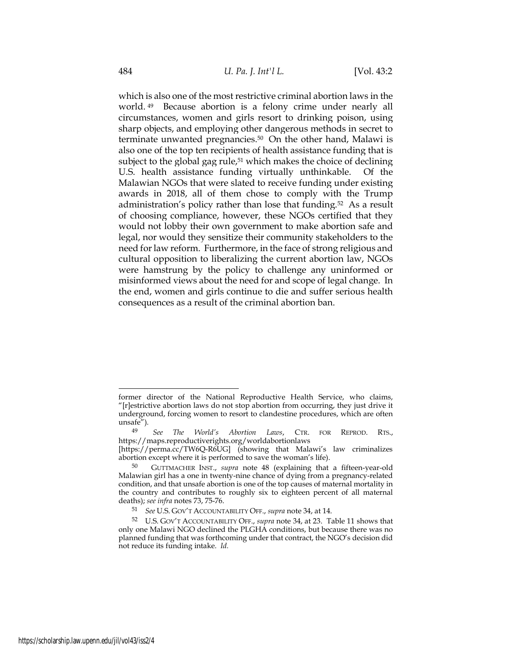which is also one of the most restrictive criminal abortion laws in the world. <sup>49</sup> Because abortion is a felony crime under nearly all circumstances, women and girls resort to drinking poison, using sharp objects, and employing other dangerous methods in secret to terminate unwanted pregnancies.50 On the other hand, Malawi is also one of the top ten recipients of health assistance funding that is subject to the global gag rule,<sup>51</sup> which makes the choice of declining U.S. health assistance funding virtually unthinkable. Of the Malawian NGOs that were slated to receive funding under existing awards in 2018, all of them chose to comply with the Trump administration's policy rather than lose that funding.52 As a result of choosing compliance, however, these NGOs certified that they would not lobby their own government to make abortion safe and legal, nor would they sensitize their community stakeholders to the need for law reform. Furthermore, in the face of strong religious and cultural opposition to liberalizing the current abortion law, NGOs were hamstrung by the policy to challenge any uninformed or misinformed views about the need for and scope of legal change. In the end, women and girls continue to die and suffer serious health consequences as a result of the criminal abortion ban.

former director of the National Reproductive Health Service, who claims, "[r]estrictive abortion laws do not stop abortion from occurring, they just drive it underground, forcing women to resort to clandestine procedures, which are often unsafe").

<sup>49</sup> See The World's Abortion Laws, CTR. FOR REPROD. RTS., https://maps.reproductiverights.org/worldabortionlaws

<sup>[</sup>https://perma.cc/TW6Q-R6UG] (showing that Malawi's law criminalizes abortion except where it is performed to save the woman's life).

<sup>50</sup> GUTTMACHER INST., supra note 48 (explaining that a fifteen-year-old Malawian girl has a one in twenty-nine chance of dying from a pregnancy-related condition, and that unsafe abortion is one of the top causes of maternal mortality in the country and contributes to roughly six to eighteen percent of all maternal deaths); see infra notes 73, 75-76.

<sup>51</sup> See U.S. GOV'T ACCOUNTABILITY OFF., supra note 34, at 14.

<sup>52</sup> U.S. GOV'T ACCOUNTABILITY OFF., supra note 34, at 23. Table 11 shows that only one Malawi NGO declined the PLGHA conditions, but because there was no planned funding that was forthcoming under that contract, the NGO's decision did not reduce its funding intake. Id.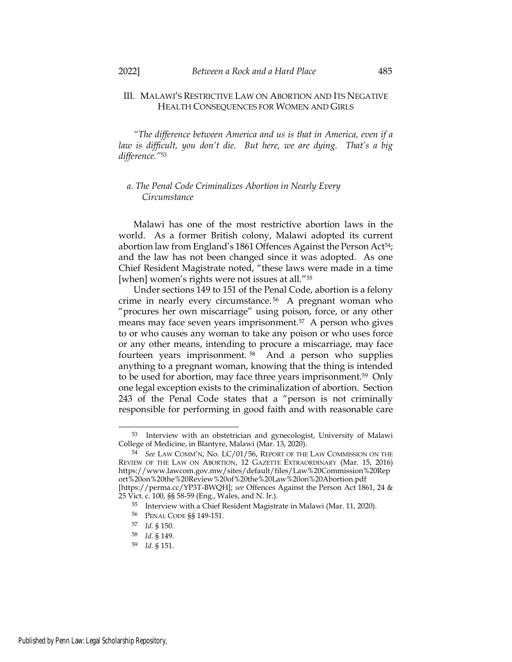### III. MALAWI'S RESTRICTIVE LAW ON ABORTION AND ITS NEGATIVE HEALTH CONSEQUENCES FOR WOMEN AND GIRLS

"The difference between America and us is that in America, even if a law is difficult, you don't die. But here, we are dying. That's a big difference."<sup>53</sup>

## a. The Penal Code Criminalizes Abortion in Nearly Every **Circumstance**

Malawi has one of the most restrictive abortion laws in the world. As a former British colony, Malawi adopted its current abortion law from England's 1861 Offences Against the Person Act<sup>54</sup>; and the law has not been changed since it was adopted. As one Chief Resident Magistrate noted, "these laws were made in a time [when] women's rights were not issues at all."<sup>55</sup>

Under sections 149 to 151 of the Penal Code, abortion is a felony crime in nearly every circumstance. <sup>56</sup> A pregnant woman who "procures her own miscarriage" using poison, force, or any other means may face seven years imprisonment.57 A person who gives to or who causes any woman to take any poison or who uses force or any other means, intending to procure a miscarriage, may face fourteen years imprisonment. <sup>58</sup> And a person who supplies anything to a pregnant woman, knowing that the thing is intended to be used for abortion, may face three years imprisonment.59 Only one legal exception exists to the criminalization of abortion. Section 243 of the Penal Code states that a "person is not criminally responsible for performing in good faith and with reasonable care

<sup>53</sup> Interview with an obstetrician and gynecologist, University of Malawi College of Medicine, in Blantyre, Malawi (Mar. 13, 2020).

<sup>54</sup> See LAW COMM'N, No. LC/01/56, REPORT OF THE LAW COMMISSION ON THE REVIEW OF THE LAW ON ABORTION, 12 GAZETTE EXTRAORDINARY (Mar. 15, 2016) https://www.lawcom.gov.mw/sites/default/files/Law%20Commission%20Rep ort%20on%20the%20Review%20of%20the%20Law%20on%20Abortion.pdf [https://perma.cc/YP3T-BWQH]; see Offences Against the Person Act 1861, 24 & 25 Vict. c. 100, §§ 58-59 (Eng., Wales, and N. Ir.).

<sup>55</sup> Interview with a Chief Resident Magistrate in Malawi (Mar. 11, 2020).

<sup>56</sup> PENAL CODE §§ 149-151.

<sup>57</sup> Id. § 150.

<sup>58</sup> Id. § 149.

<sup>59</sup> Id. § 151.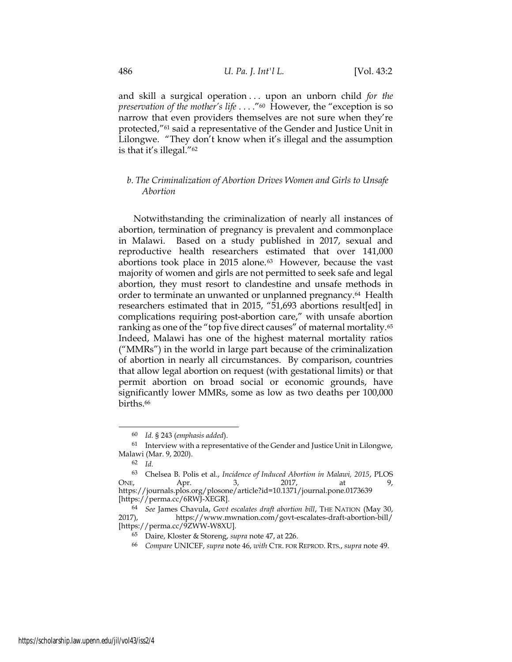and skill a surgical operation  $\ldots$  upon an unborn child for the preservation of the mother's life . . . ."60 However, the "exception is so narrow that even providers themselves are not sure when they're protected,"61 said a representative of the Gender and Justice Unit in Lilongwe. "They don't know when it's illegal and the assumption is that it's illegal."<sup>62</sup>

## b. The Criminalization of Abortion Drives Women and Girls to Unsafe Abortion

Notwithstanding the criminalization of nearly all instances of abortion, termination of pregnancy is prevalent and commonplace in Malawi. Based on a study published in 2017, sexual and reproductive health researchers estimated that over 141,000 abortions took place in 2015 alone. $63$  However, because the vast majority of women and girls are not permitted to seek safe and legal abortion, they must resort to clandestine and unsafe methods in order to terminate an unwanted or unplanned pregnancy.64 Health researchers estimated that in 2015, "51,693 abortions result[ed] in complications requiring post-abortion care," with unsafe abortion ranking as one of the "top five direct causes" of maternal mortality.<sup>65</sup> Indeed, Malawi has one of the highest maternal mortality ratios ("MMRs") in the world in large part because of the criminalization of abortion in nearly all circumstances. By comparison, countries that allow legal abortion on request (with gestational limits) or that permit abortion on broad social or economic grounds, have significantly lower MMRs, some as low as two deaths per 100,000 births.<sup>66</sup>

<sup>60</sup> Id. § 243 (emphasis added).

 $61$  Interview with a representative of the Gender and Justice Unit in Lilongwe, Malawi (Mar. 9, 2020).

<sup>62</sup> Id.

<sup>63</sup> Chelsea B. Polis et al., Incidence of Induced Abortion in Malawi, 2015, PLOS ONE, Apr. 3, 2017, at 9, https://journals.plos.org/plosone/article?id=10.1371/journal.pone.0173639 [https://perma.cc/6RWJ-XEGR].

<sup>64</sup> See James Chavula, Govt escalates draft abortion bill, THE NATION (May 30, 2017), https://www.mwnation.com/govt-escalates-draft-abortion-bill/ [https://perma.cc/9ZWW-W8XU].

<sup>65</sup> Daire, Kloster & Storeng, supra note 47, at 226.

<sup>&</sup>lt;sup>66</sup> Compare UNICEF, supra note 46, with CTR. FOR REPROD. RTS., supra note 49.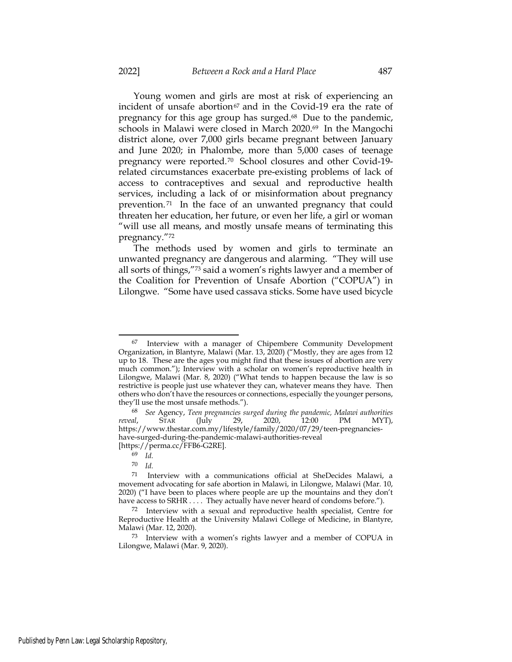Young women and girls are most at risk of experiencing an incident of unsafe abortion $67$  and in the Covid-19 era the rate of pregnancy for this age group has surged.68 Due to the pandemic, schools in Malawi were closed in March 2020.<sup>69</sup> In the Mangochi district alone, over 7,000 girls became pregnant between January and June 2020; in Phalombe, more than 5,000 cases of teenage pregnancy were reported.70 School closures and other Covid-19 related circumstances exacerbate pre-existing problems of lack of access to contraceptives and sexual and reproductive health services, including a lack of or misinformation about pregnancy prevention. <sup>71</sup> In the face of an unwanted pregnancy that could threaten her education, her future, or even her life, a girl or woman "will use all means, and mostly unsafe means of terminating this pregnancy."<sup>72</sup>

The methods used by women and girls to terminate an unwanted pregnancy are dangerous and alarming. "They will use all sorts of things,"73 said a women's rights lawyer and a member of the Coalition for Prevention of Unsafe Abortion ("COPUA") in Lilongwe. "Some have used cassava sticks. Some have used bicycle

<sup>67</sup> Interview with a manager of Chipembere Community Development Organization, in Blantyre, Malawi (Mar. 13, 2020) ("Mostly, they are ages from 12 up to 18. These are the ages you might find that these issues of abortion are very much common."); Interview with a scholar on women's reproductive health in Lilongwe, Malawi (Mar. 8, 2020) ("What tends to happen because the law is so restrictive is people just use whatever they can, whatever means they have. Then others who don't have the resources or connections, especially the younger persons, they'll use the most unsafe methods.").

<sup>&</sup>lt;sup>68</sup> See Agency, Teen pregnancies surged during the pandemic, Malawi authorities ral, STAR (July 29, 2020, 12:00 PM MYT), reveal, STAR (July 29, 2020, 12:00 PM MYT), https://www.thestar.com.my/lifestyle/family/2020/07/29/teen-pregnancieshave-surged-during-the-pandemic-malawi-authorities-reveal [https://perma.cc/FFB6-G2RE].

<sup>69</sup> Id.

<sup>70</sup> Id.

<sup>71</sup> Interview with a communications official at SheDecides Malawi, a movement advocating for safe abortion in Malawi, in Lilongwe, Malawi (Mar. 10, 2020) ("I have been to places where people are up the mountains and they don't have access to SRHR . . . . They actually have never heard of condoms before.").

<sup>72</sup> Interview with a sexual and reproductive health specialist, Centre for Reproductive Health at the University Malawi College of Medicine, in Blantyre, Malawi (Mar. 12, 2020).

<sup>73</sup> Interview with a women's rights lawyer and a member of COPUA in Lilongwe, Malawi (Mar. 9, 2020).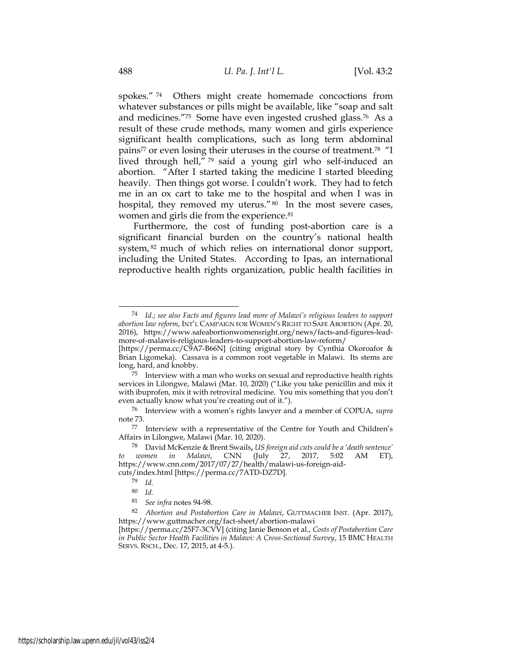spokes." <sup>74</sup> Others might create homemade concoctions from whatever substances or pills might be available, like "soap and salt and medicines."75 Some have even ingested crushed glass.76 As a result of these crude methods, many women and girls experience significant health complications, such as long term abdominal pains<sup>77</sup> or even losing their uteruses in the course of treatment.<sup>78</sup> "I lived through hell," <sup>79</sup> said a young girl who self-induced an abortion. "After I started taking the medicine I started bleeding heavily. Then things got worse. I couldn't work. They had to fetch me in an ox cart to take me to the hospital and when I was in hospital, they removed my uterus." 80 In the most severe cases, women and girls die from the experience.<sup>81</sup>

Furthermore, the cost of funding post-abortion care is a significant financial burden on the country's national health system, <sup>82</sup> much of which relies on international donor support, including the United States. According to Ipas, an international reproductive health rights organization, public health facilities in

<sup>&</sup>lt;sup>74</sup> Id.; see also Facts and figures lead more of Malawi's religious leaders to support abortion law reform, INT'L CAMPAIGN FOR WOMEN'S RIGHT TO SAFE ABORTION (Apr. 20, 2016), https://www.safeabortionwomensright.org/news/facts-and-figures-leadmore-of-malawis-religious-leaders-to-support-abortion-law-reform/

<sup>[</sup>https://perma.cc/C9A7-B66N] (citing original story by Cynthia Okoroafor & Brian Ligomeka). Cassava is a common root vegetable in Malawi. Its stems are long, hard, and knobby.

 $75$  Interview with a man who works on sexual and reproductive health rights services in Lilongwe, Malawi (Mar. 10, 2020) ("Like you take penicillin and mix it with ibuprofen, mix it with retroviral medicine. You mix something that you don't even actually know what you're creating out of it.").

<sup>76</sup> Interview with a women's rights lawyer and a member of COPUA, supra note 73.

<sup>77</sup> Interview with a representative of the Centre for Youth and Children's Affairs in Lilongwe, Malawi (Mar. 10, 2020).

<sup>78</sup> David McKenzie & Brent Swails, US foreign aid cuts could be a 'death sentence' to women in Malawi, CNN (July 27, 2017, 5:02 AM ET), https://www.cnn.com/2017/07/27/health/malawi-us-foreign-aidcuts/index.html [https://perma.cc/7ATD-DZ7D].

<sup>79</sup> Id.

<sup>80</sup> Id.

<sup>81</sup> See infra notes 94-98.

<sup>82</sup> Abortion and Postabortion Care in Malawi, GUTTMACHER INST. (Apr. 2017), https://www.guttmacher.org/fact-sheet/abortion-malawi

<sup>[</sup>https://perma.cc/25F7-3CVV] (citing Janie Benson et al., Costs of Postabortion Care in Public Sector Health Facilities in Malawi: A Cross-Sectional Survey, 15 BMC HEALTH SERVS. RSCH., Dec. 17, 2015, at 4-5.).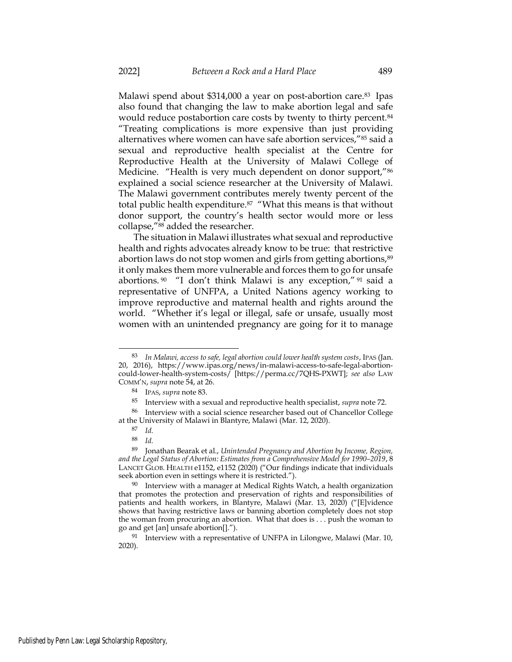Malawi spend about \$314,000 a year on post-abortion care.83 Ipas also found that changing the law to make abortion legal and safe would reduce postabortion care costs by twenty to thirty percent.<sup>84</sup> "Treating complications is more expensive than just providing alternatives where women can have safe abortion services,"85 said a sexual and reproductive health specialist at the Centre for Reproductive Health at the University of Malawi College of Medicine. "Health is very much dependent on donor support,"<sup>86</sup> explained a social science researcher at the University of Malawi. The Malawi government contributes merely twenty percent of the total public health expenditure.87 "What this means is that without donor support, the country's health sector would more or less collapse,"88 added the researcher.

The situation in Malawi illustrates what sexual and reproductive health and rights advocates already know to be true: that restrictive abortion laws do not stop women and girls from getting abortions,<sup>89</sup> it only makes them more vulnerable and forces them to go for unsafe abortions. <sup>90</sup> "I don't think Malawi is any exception," <sup>91</sup> said a representative of UNFPA, a United Nations agency working to improve reproductive and maternal health and rights around the world. "Whether it's legal or illegal, safe or unsafe, usually most women with an unintended pregnancy are going for it to manage

<sup>83</sup> In Malawi, access to safe, legal abortion could lower health system costs, IPAS (Jan. 20, 2016), https://www.ipas.org/news/in-malawi-access-to-safe-legal-abortioncould-lower-health-system-costs/ [https://perma.cc/7QHS-PXWT]; see also LAW COMM'N, supra note 54, at 26.

<sup>84</sup> IPAS, supra note 83.

<sup>85</sup> Interview with a sexual and reproductive health specialist, supra note 72.

<sup>86</sup> Interview with a social science researcher based out of Chancellor College at the University of Malawi in Blantyre, Malawi (Mar. 12, 2020).

<sup>87</sup> Id.

<sup>88</sup> Id.

<sup>89</sup> Jonathan Bearak et al., Unintended Pregnancy and Abortion by Income, Region, and the Legal Status of Abortion: Estimates from a Comprehensive Model for 1990–2019, 8 LANCET GLOB. HEALTH e1152, e1152 (2020) ("Our findings indicate that individuals seek abortion even in settings where it is restricted.").

 $90$  Interview with a manager at Medical Rights Watch, a health organization that promotes the protection and preservation of rights and responsibilities of patients and health workers, in Blantyre, Malawi (Mar. 13, 2020) ("[E]vidence shows that having restrictive laws or banning abortion completely does not stop the woman from procuring an abortion. What that does is . . . push the woman to go and get [an] unsafe abortion[].").

 $91$  Interview with a representative of UNFPA in Lilongwe, Malawi (Mar. 10, 2020).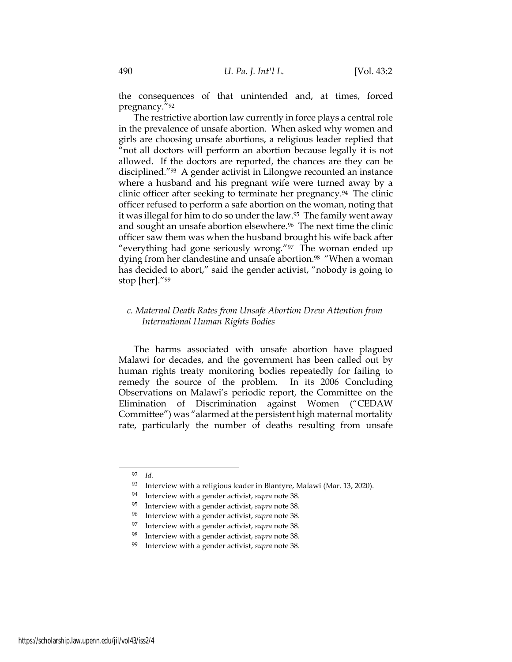the consequences of that unintended and, at times, forced pregnancy."<sup>92</sup>

The restrictive abortion law currently in force plays a central role in the prevalence of unsafe abortion. When asked why women and girls are choosing unsafe abortions, a religious leader replied that "not all doctors will perform an abortion because legally it is not allowed. If the doctors are reported, the chances are they can be disciplined."93 A gender activist in Lilongwe recounted an instance where a husband and his pregnant wife were turned away by a clinic officer after seeking to terminate her pregnancy.<sup>94</sup> The clinic officer refused to perform a safe abortion on the woman, noting that it was illegal for him to do so under the law.95 The family went away and sought an unsafe abortion elsewhere.<sup>96</sup> The next time the clinic officer saw them was when the husband brought his wife back after "everything had gone seriously wrong."97 The woman ended up dying from her clandestine and unsafe abortion.<sup>98</sup> "When a woman has decided to abort," said the gender activist, "nobody is going to stop [her]."<sup>99</sup>

## c. Maternal Death Rates from Unsafe Abortion Drew Attention from International Human Rights Bodies

The harms associated with unsafe abortion have plagued Malawi for decades, and the government has been called out by human rights treaty monitoring bodies repeatedly for failing to remedy the source of the problem. In its 2006 Concluding Observations on Malawi's periodic report, the Committee on the Elimination of Discrimination against Women ("CEDAW Committee") was "alarmed at the persistent high maternal mortality rate, particularly the number of deaths resulting from unsafe

<sup>92</sup> Id.

<sup>93</sup> Interview with a religious leader in Blantyre, Malawi (Mar. 13, 2020).

<sup>&</sup>lt;sup>94</sup> Interview with a gender activist, *supra* note 38.

<sup>&</sup>lt;sup>95</sup> Interview with a gender activist, *supra* note 38.

<sup>&</sup>lt;sup>96</sup> Interview with a gender activist, *supra* note 38.

 $97$  Interview with a gender activist, supra note 38.

<sup>&</sup>lt;sup>98</sup> Interview with a gender activist, *supra* note 38.

Interview with a gender activist, supra note 38.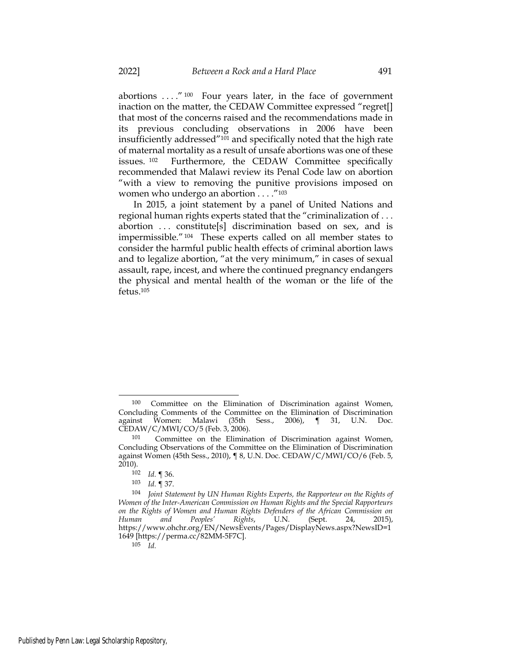abortions . . . ." <sup>100</sup> Four years later, in the face of government inaction on the matter, the CEDAW Committee expressed "regret[] that most of the concerns raised and the recommendations made in its previous concluding observations in 2006 have been insufficiently addressed"101 and specifically noted that the high rate of maternal mortality as a result of unsafe abortions was one of these issues. <sup>102</sup> Furthermore, the CEDAW Committee specifically recommended that Malawi review its Penal Code law on abortion "with a view to removing the punitive provisions imposed on women who undergo an abortion . . . ."<sup>103</sup>

In 2015, a joint statement by a panel of United Nations and regional human rights experts stated that the "criminalization of . . . abortion ... constitute[s] discrimination based on sex, and is impermissible."104 These experts called on all member states to consider the harmful public health effects of criminal abortion laws and to legalize abortion, "at the very minimum," in cases of sexual assault, rape, incest, and where the continued pregnancy endangers the physical and mental health of the woman or the life of the fetus.<sup>105</sup>

<sup>100</sup> Committee on the Elimination of Discrimination against Women, Concluding Comments of the Committee on the Elimination of Discrimination against Women: Malawi (35th Sess., 2006), ¶ 31, U.N. Doc. CEDAW/C/MWI/CO/5 (Feb. 3, 2006).

<sup>101</sup> Committee on the Elimination of Discrimination against Women, Concluding Observations of the Committee on the Elimination of Discrimination against Women (45th Sess., 2010), ¶ 8, U.N. Doc. CEDAW/C/MWI/CO/6 (Feb. 5,  $2010$ ).

<sup>102</sup> Id. ¶ 36.

<sup>103</sup> Id. ¶ 37.

<sup>104</sup> Joint Statement by UN Human Rights Experts, the Rapporteur on the Rights of Women of the Inter-American Commission on Human Rights and the Special Rapporteurs on the Rights of Women and Human Rights Defenders of the African Commission on<br>Human and Peoples' Rights, U.N. (Sept. 24, 2015), Human and Peoples' Rights, U.N. (Sept. 24, 2015), https://www.ohchr.org/EN/NewsEvents/Pages/DisplayNews.aspx?NewsID=1 1649 [https://perma.cc/82MM-5F7C].

<sup>105</sup> Id.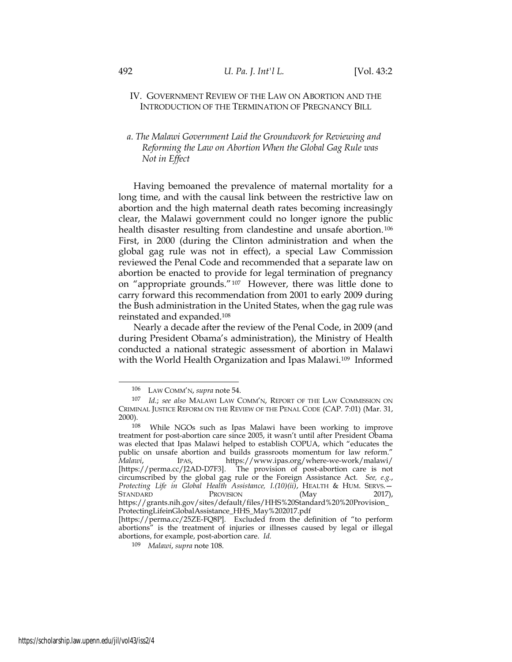### IV. GOVERNMENT REVIEW OF THE LAW ON ABORTION AND THE INTRODUCTION OF THE TERMINATION OF PREGNANCY BILL

# a. The Malawi Government Laid the Groundwork for Reviewing and Reforming the Law on Abortion When the Global Gag Rule was Not in Effect

Having bemoaned the prevalence of maternal mortality for a long time, and with the causal link between the restrictive law on abortion and the high maternal death rates becoming increasingly clear, the Malawi government could no longer ignore the public health disaster resulting from clandestine and unsafe abortion.<sup>106</sup> First, in 2000 (during the Clinton administration and when the global gag rule was not in effect), a special Law Commission reviewed the Penal Code and recommended that a separate law on abortion be enacted to provide for legal termination of pregnancy on "appropriate grounds."107 However, there was little done to carry forward this recommendation from 2001 to early 2009 during the Bush administration in the United States, when the gag rule was reinstated and expanded.<sup>108</sup>

Nearly a decade after the review of the Penal Code, in 2009 (and during President Obama's administration), the Ministry of Health conducted a national strategic assessment of abortion in Malawi with the World Health Organization and Ipas Malawi.109 Informed

<sup>106</sup> LAW COMM'N, supra note 54.

<sup>107</sup> Id.; see also MALAWI LAW COMM'N, REPORT OF THE LAW COMMISSION ON CRIMINAL JUSTICE REFORM ON THE REVIEW OF THE PENAL CODE (CAP. 7:01) (Mar. 31, 2000).

<sup>108</sup> While NGOs such as Ipas Malawi have been working to improve treatment for post-abortion care since 2005, it wasn't until after President Obama was elected that Ipas Malawi helped to establish COPUA, which "educates the public on unsafe abortion and builds grassroots momentum for law reform." Malawi, IPAS, https://www.ipas.org/where-we-work/malawi/ [https://perma.cc/J2AD-D7F3]. The provision of post-abortion care is not circumscribed by the global gag rule or the Foreign Assistance Act. See, e.g., Protecting Life in Global Health Assistance, I.(10)(ii), HEALTH & HUM. SERVS.-STANDARD PROVISION (May 2017), https://grants.nih.gov/sites/default/files/HHS%20Standard%20%20Provision\_ ProtectingLifeinGlobalAssistance\_HHS\_May%202017.pdf

<sup>[</sup>https://perma.cc/25ZE-FQ8P]. Excluded from the definition of "to perform abortions" is the treatment of injuries or illnesses caused by legal or illegal abortions, for example, post-abortion care. Id.

<sup>109</sup> Malawi, supra note 108.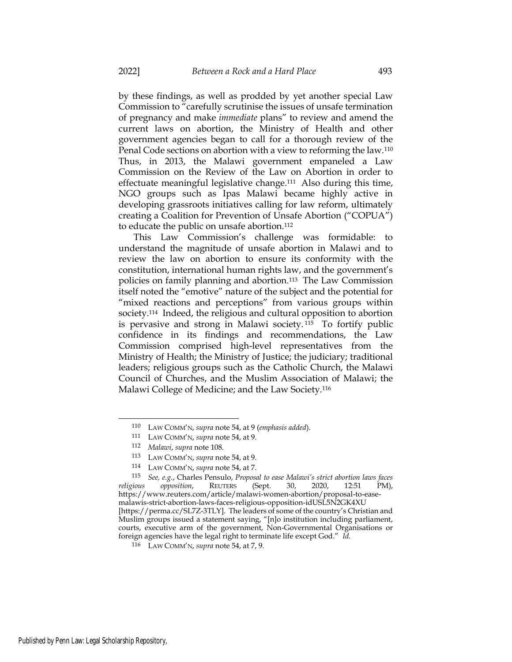by these findings, as well as prodded by yet another special Law Commission to "carefully scrutinise the issues of unsafe termination of pregnancy and make immediate plans" to review and amend the current laws on abortion, the Ministry of Health and other government agencies began to call for a thorough review of the Penal Code sections on abortion with a view to reforming the law.<sup>110</sup> Thus, in 2013, the Malawi government empaneled a Law Commission on the Review of the Law on Abortion in order to effectuate meaningful legislative change.111 Also during this time, NGO groups such as Ipas Malawi became highly active in developing grassroots initiatives calling for law reform, ultimately creating a Coalition for Prevention of Unsafe Abortion ("COPUA") to educate the public on unsafe abortion.<sup>112</sup>

This Law Commission's challenge was formidable: to understand the magnitude of unsafe abortion in Malawi and to review the law on abortion to ensure its conformity with the constitution, international human rights law, and the government's policies on family planning and abortion.113 The Law Commission itself noted the "emotive" nature of the subject and the potential for "mixed reactions and perceptions" from various groups within society.114 Indeed, the religious and cultural opposition to abortion is pervasive and strong in Malawi society. <sup>115</sup> To fortify public confidence in its findings and recommendations, the Law Commission comprised high-level representatives from the Ministry of Health; the Ministry of Justice; the judiciary; traditional leaders; religious groups such as the Catholic Church, the Malawi Council of Churches, and the Muslim Association of Malawi; the Malawi College of Medicine; and the Law Society.<sup>116</sup>

<sup>110</sup> LAW COMM'N, supra note 54, at 9 (emphasis added).

<sup>111</sup> LAW COMM'N, supra note 54, at 9.

<sup>112</sup> Malawi, supra note 108.

<sup>113</sup> LAW COMM'N, supra note 54, at 9.

<sup>114</sup> LAW COMM'N, supra note 54, at 7.

<sup>115</sup> See, e.g., Charles Pensulo, Proposal to ease Malawi's strict abortion laws faces religious opposition, REUTERS (Sept. 30, 2020, 12:51 PM), https://www.reuters.com/article/malawi-women-abortion/proposal-to-easemalawis-strict-abortion-laws-faces-religious-opposition-idUSL5N2GK4XU [https://perma.cc/SL7Z-3TLY]. The leaders of some of the country's Christian and Muslim groups issued a statement saying, "[n]o institution including parliament, courts, executive arm of the government, Non-Governmental Organisations or foreign agencies have the legal right to terminate life except God." Id.

<sup>116</sup> LAW COMM'N, supra note 54, at 7, 9.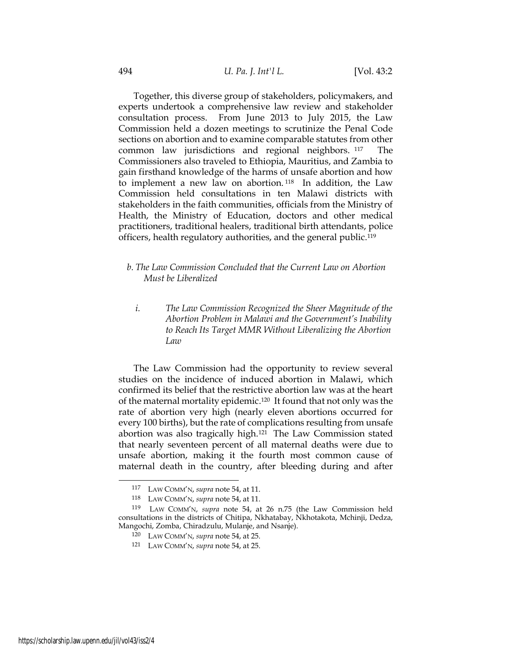Together, this diverse group of stakeholders, policymakers, and experts undertook a comprehensive law review and stakeholder consultation process. From June 2013 to July 2015, the Law Commission held a dozen meetings to scrutinize the Penal Code sections on abortion and to examine comparable statutes from other common law jurisdictions and regional neighbors. <sup>117</sup> The Commissioners also traveled to Ethiopia, Mauritius, and Zambia to gain firsthand knowledge of the harms of unsafe abortion and how to implement a new law on abortion. <sup>118</sup> In addition, the Law Commission held consultations in ten Malawi districts with stakeholders in the faith communities, officials from the Ministry of Health, the Ministry of Education, doctors and other medical practitioners, traditional healers, traditional birth attendants, police officers, health regulatory authorities, and the general public.<sup>119</sup>

- b. The Law Commission Concluded that the Current Law on Abortion Must be Liberalized
	- i. The Law Commission Recognized the Sheer Magnitude of the Abortion Problem in Malawi and the Government's Inability to Reach Its Target MMR Without Liberalizing the Abortion Law

The Law Commission had the opportunity to review several studies on the incidence of induced abortion in Malawi, which confirmed its belief that the restrictive abortion law was at the heart of the maternal mortality epidemic.120 It found that not only was the rate of abortion very high (nearly eleven abortions occurred for every 100 births), but the rate of complications resulting from unsafe abortion was also tragically high.121 The Law Commission stated that nearly seventeen percent of all maternal deaths were due to unsafe abortion, making it the fourth most common cause of maternal death in the country, after bleeding during and after

<sup>117</sup> LAW COMM'N, supra note 54, at 11.

<sup>118</sup> LAW COMM'N, supra note 54, at 11.

<sup>119</sup> LAW COMM'N, supra note 54, at 26 n.75 (the Law Commission held consultations in the districts of Chitipa, Nkhatabay, Nkhotakota, Mchinji, Dedza, Mangochi, Zomba, Chiradzulu, Mulanje, and Nsanje).

<sup>120</sup> LAW COMM'N, supra note 54, at 25.

<sup>121</sup> LAW COMM'N, supra note 54, at 25.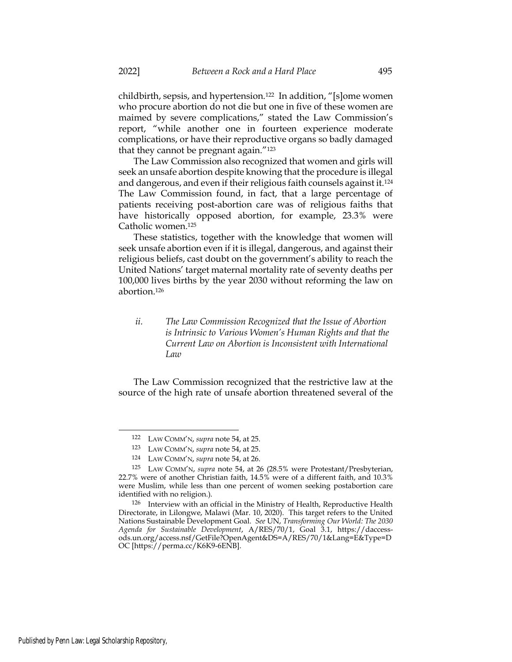childbirth, sepsis, and hypertension.122 In addition, "[s]ome women who procure abortion do not die but one in five of these women are maimed by severe complications," stated the Law Commission's report, "while another one in fourteen experience moderate complications, or have their reproductive organs so badly damaged that they cannot be pregnant again."<sup>123</sup>

The Law Commission also recognized that women and girls will seek an unsafe abortion despite knowing that the procedure is illegal and dangerous, and even if their religious faith counsels against it.<sup>124</sup> The Law Commission found, in fact, that a large percentage of patients receiving post-abortion care was of religious faiths that have historically opposed abortion, for example, 23.3% were Catholic women.<sup>125</sup>

These statistics, together with the knowledge that women will seek unsafe abortion even if it is illegal, dangerous, and against their religious beliefs, cast doubt on the government's ability to reach the United Nations' target maternal mortality rate of seventy deaths per 100,000 lives births by the year 2030 without reforming the law on abortion.<sup>126</sup>

# ii. The Law Commission Recognized that the Issue of Abortion is Intrinsic to Various Women's Human Rights and that the Current Law on Abortion is Inconsistent with International Law

The Law Commission recognized that the restrictive law at the source of the high rate of unsafe abortion threatened several of the

<sup>122</sup> LAW COMM'N, supra note 54, at 25.

<sup>123</sup> LAW COMM'N, supra note 54, at 25.

<sup>124</sup> LAW COMM'N, supra note 54, at 26.

<sup>125</sup> LAW COMM'N, supra note 54, at 26 (28.5% were Protestant/Presbyterian, 22.7% were of another Christian faith, 14.5% were of a different faith, and 10.3% were Muslim, while less than one percent of women seeking postabortion care identified with no religion.).

<sup>126</sup> Interview with an official in the Ministry of Health, Reproductive Health Directorate, in Lilongwe, Malawi (Mar. 10, 2020). This target refers to the United Nations Sustainable Development Goal. See UN, Transforming Our World: The 2030 Agenda for Sustainable Development, A/RES/70/1, Goal 3.1, https://daccessods.un.org/access.nsf/GetFile?OpenAgent&DS=A/RES/70/1&Lang=E&Type=D OC [https://perma.cc/K6K9-6ENB].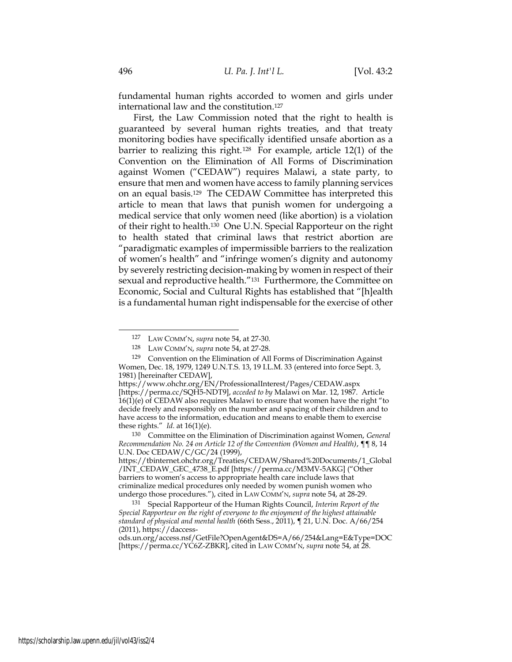fundamental human rights accorded to women and girls under international law and the constitution.<sup>127</sup>

First, the Law Commission noted that the right to health is guaranteed by several human rights treaties, and that treaty monitoring bodies have specifically identified unsafe abortion as a barrier to realizing this right.<sup>128</sup> For example, article 12(1) of the Convention on the Elimination of All Forms of Discrimination against Women ("CEDAW") requires Malawi, a state party, to ensure that men and women have access to family planning services on an equal basis.129 The CEDAW Committee has interpreted this article to mean that laws that punish women for undergoing a medical service that only women need (like abortion) is a violation of their right to health.130 One U.N. Special Rapporteur on the right to health stated that criminal laws that restrict abortion are "paradigmatic examples of impermissible barriers to the realization of women's health" and "infringe women's dignity and autonomy by severely restricting decision-making by women in respect of their sexual and reproductive health."131 Furthermore, the Committee on Economic, Social and Cultural Rights has established that "[h]ealth is a fundamental human right indispensable for the exercise of other

<sup>127</sup> LAW COMM'N, supra note 54, at 27-30.

<sup>128</sup> LAW COMM'N, supra note 54, at 27-28.

<sup>129</sup> Convention on the Elimination of All Forms of Discrimination Against Women, Dec. 18, 1979, 1249 U.N.T.S. 13, 19 I.L.M. 33 (entered into force Sept. 3, 1981) [hereinafter CEDAW],

https://www.ohchr.org/EN/ProfessionalInterest/Pages/CEDAW.aspx [https://perma.cc/SQH5-NDT9], acceded to by Malawi on Mar. 12, 1987. Article 16(1)(e) of CEDAW also requires Malawi to ensure that women have the right "to decide freely and responsibly on the number and spacing of their children and to have access to the information, education and means to enable them to exercise these rights." Id. at  $16(1)(e)$ .

<sup>130</sup> Committee on the Elimination of Discrimination against Women, General Recommendation No. 24 on Article 12 of the Convention (Women and Health), ¶¶ 8, 14 U.N. Doc CEDAW/C/GC/24 (1999),

https://tbinternet.ohchr.org/Treaties/CEDAW/Shared%20Documents/1\_Global /INT\_CEDAW\_GEC\_4738\_E.pdf [https://perma.cc/M3MV-5AKG] ("Other barriers to women's access to appropriate health care include laws that criminalize medical procedures only needed by women punish women who undergo those procedures."), cited in LAW COMM'N, supra note 54, at 28-29.

<sup>&</sup>lt;sup>131</sup> Special Rapporteur of the Human Rights Council, Interim Report of the Special Rapporteur on the right of everyone to the enjoyment of the highest attainable standard of physical and mental health (66th Sess., 2011), ¶ 21, U.N. Doc. A/66/254 (2011), https://daccess-

ods.un.org/access.nsf/GetFile?OpenAgent&DS=A/66/254&Lang=E&Type=DOC [https://perma.cc/YC6Z-ZBKR], cited in LAW COMM'N, supra note 54, at 28.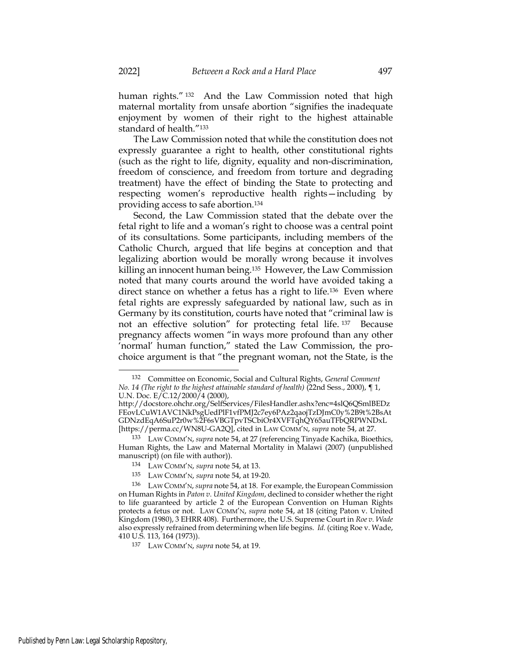human rights." <sup>132</sup> And the Law Commission noted that high maternal mortality from unsafe abortion "signifies the inadequate enjoyment by women of their right to the highest attainable standard of health."<sup>133</sup>

The Law Commission noted that while the constitution does not expressly guarantee a right to health, other constitutional rights (such as the right to life, dignity, equality and non-discrimination, freedom of conscience, and freedom from torture and degrading treatment) have the effect of binding the State to protecting and respecting women's reproductive health rights—including by providing access to safe abortion.<sup>134</sup>

Second, the Law Commission stated that the debate over the fetal right to life and a woman's right to choose was a central point of its consultations. Some participants, including members of the Catholic Church, argued that life begins at conception and that legalizing abortion would be morally wrong because it involves killing an innocent human being.135 However, the Law Commission noted that many courts around the world have avoided taking a direct stance on whether a fetus has a right to life.<sup>136</sup> Even where fetal rights are expressly safeguarded by national law, such as in Germany by its constitution, courts have noted that "criminal law is not an effective solution" for protecting fetal life. <sup>137</sup> Because pregnancy affects women "in ways more profound than any other 'normal' human function," stated the Law Commission, the prochoice argument is that "the pregnant woman, not the State, is the

<sup>132</sup> Committee on Economic, Social and Cultural Rights, General Comment No. 14 (The right to the highest attainable standard of health) (22nd Sess., 2000), ¶ 1, U.N. Doc. E/C.12/2000/4 (2000),

http://docstore.ohchr.org/SelfServices/FilesHandler.ashx?enc=4slQ6QSmlBEDz FEovLCuW1AVC1NkPsgUedPlF1vfPMJ2c7ey6PAz2qaojTzDJmC0y%2B9t%2BsAt GDNzdEqA6SuP2r0w%2F6sVBGTpvTSCbiOr4XVFTqhQY65auTFbQRPWNDxL [https://perma.cc/WN8U-GA2Q], cited in LAW COMM'N, supra note 54, at 27.

<sup>133</sup> LAW COMM'N, supra note 54, at 27 (referencing Tinyade Kachika, Bioethics, Human Rights, the Law and Maternal Mortality in Malawi (2007) (unpublished manuscript) (on file with author)).

<sup>134</sup> LAW COMM'N, supra note 54, at 13.

<sup>135</sup> LAW COMM'N, supra note 54, at 19-20.

<sup>136</sup> LAW COMM'N, supra note 54, at 18. For example, the European Commission on Human Rights in Paton v. United Kingdom, declined to consider whether the right to life guaranteed by article 2 of the European Convention on Human Rights protects a fetus or not. LAW COMM'N, supra note 54, at 18 (citing Paton v. United Kingdom (1980), 3 EHRR 408). Furthermore, the U.S. Supreme Court in Roe v. Wade also expressly refrained from determining when life begins. Id. (citing Roe v. Wade, 410 U.S. 113, 164 (1973)).

<sup>137</sup> LAW COMM'N, supra note 54, at 19.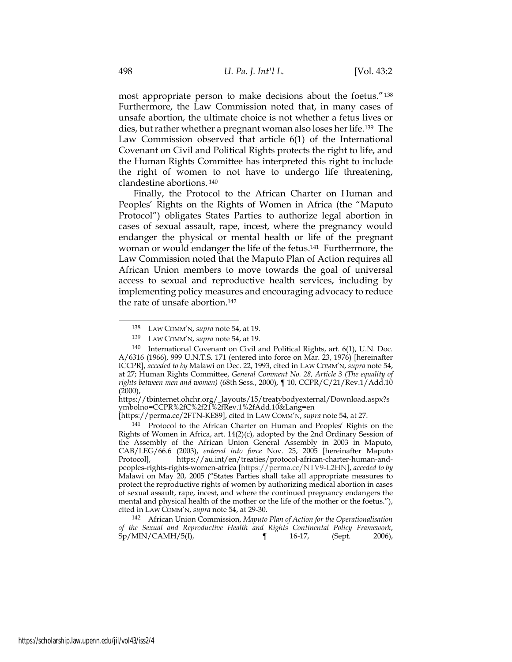most appropriate person to make decisions about the foetus."<sup>138</sup> Furthermore, the Law Commission noted that, in many cases of unsafe abortion, the ultimate choice is not whether a fetus lives or dies, but rather whether a pregnant woman also loses her life.139 The Law Commission observed that article 6(1) of the International Covenant on Civil and Political Rights protects the right to life, and the Human Rights Committee has interpreted this right to include the right of women to not have to undergo life threatening, clandestine abortions.<sup>140</sup>

Finally, the Protocol to the African Charter on Human and Peoples' Rights on the Rights of Women in Africa (the "Maputo Protocol") obligates States Parties to authorize legal abortion in cases of sexual assault, rape, incest, where the pregnancy would endanger the physical or mental health or life of the pregnant woman or would endanger the life of the fetus.141 Furthermore, the Law Commission noted that the Maputo Plan of Action requires all African Union members to move towards the goal of universal access to sexual and reproductive health services, including by implementing policy measures and encouraging advocacy to reduce the rate of unsafe abortion.<sup>142</sup>

<sup>141</sup> Protocol to the African Charter on Human and Peoples' Rights on the Rights of Women in Africa, art.  $14(2)(c)$ , adopted by the 2nd Ordinary Session of the Assembly of the African Union General Assembly in 2003 in Maputo, CAB/LEG/66.6 (2003), entered into force Nov. 25, 2005 [hereinafter Maputo Protocol], https://au.int/en/treaties/protocol-african-charter-human-andhttps://au.int/en/treaties/protocol-african-charter-human-andpeoples-rights-rights-women-africa [https://perma.cc/NTV9-L2HN], acceded to by Malawi on May 20, 2005 ("States Parties shall take all appropriate measures to protect the reproductive rights of women by authorizing medical abortion in cases of sexual assault, rape, incest, and where the continued pregnancy endangers the mental and physical health of the mother or the life of the mother or the foetus."), cited in LAW COMM'N, supra note 54, at 29-30.

<sup>142</sup> African Union Commission, Maputo Plan of Action for the Operationalisation of the Sexual and Reproductive Health and Rights Continental Policy Framework, Sp/MIN/CAMH/5(I), ¶ 16-17, (Sept. 2006),

<sup>138</sup> LAW COMM'N, supra note 54, at 19.

<sup>139</sup> LAW COMM'N, supra note 54, at 19.

<sup>140</sup> International Covenant on Civil and Political Rights, art. 6(1), U.N. Doc. A/6316 (1966), 999 U.N.T.S. 171 (entered into force on Mar. 23, 1976) [hereinafter ICCPR], acceded to by Malawi on Dec. 22, 1993, cited in LAW COMM'N, supra note 54, at 27; Human Rights Committee, General Comment No. 28, Article 3 (The equality of rights between men and women) (68th Sess., 2000), ¶ 10, CCPR/C/21/Rev.1/Add.10  $(2000)$ ,

https://tbinternet.ohchr.org/\_layouts/15/treatybodyexternal/Download.aspx?s ymbolno=CCPR%2fC%2f21%2fRev.1%2fAdd.10&Lang=en

<sup>[</sup>https://perma.cc/2FTN-KE89], cited in LAW COMM'N, supra note 54, at 27.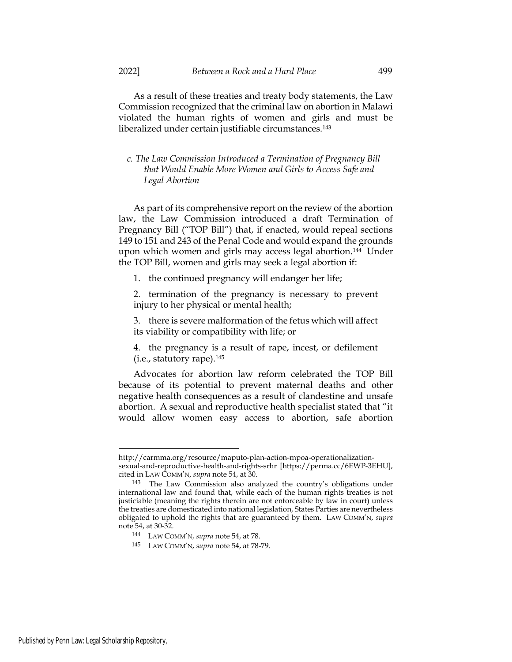As a result of these treaties and treaty body statements, the Law Commission recognized that the criminal law on abortion in Malawi violated the human rights of women and girls and must be liberalized under certain justifiable circumstances.<sup>143</sup>

## c. The Law Commission Introduced a Termination of Pregnancy Bill that Would Enable More Women and Girls to Access Safe and Legal Abortion

As part of its comprehensive report on the review of the abortion law, the Law Commission introduced a draft Termination of Pregnancy Bill ("TOP Bill") that, if enacted, would repeal sections 149 to 151 and 243 of the Penal Code and would expand the grounds upon which women and girls may access legal abortion.144 Under the TOP Bill, women and girls may seek a legal abortion if:

1. the continued pregnancy will endanger her life;

2. termination of the pregnancy is necessary to prevent injury to her physical or mental health;

3. there is severe malformation of the fetus which will affect its viability or compatibility with life; or

4. the pregnancy is a result of rape, incest, or defilement (i.e., statutory rape).<sup>145</sup>

Advocates for abortion law reform celebrated the TOP Bill because of its potential to prevent maternal deaths and other negative health consequences as a result of clandestine and unsafe abortion. A sexual and reproductive health specialist stated that "it would allow women easy access to abortion, safe abortion

http://carmma.org/resource/maputo-plan-action-mpoa-operationalizationsexual-and-reproductive-health-and-rights-srhr [https://perma.cc/6EWP-3EHU], cited in LAW COMM'N, supra note 54, at 30.

<sup>143</sup> The Law Commission also analyzed the country's obligations under international law and found that, while each of the human rights treaties is not justiciable (meaning the rights therein are not enforceable by law in court) unless the treaties are domesticated into national legislation, States Parties are nevertheless obligated to uphold the rights that are guaranteed by them. LAW COMM'N, supra note 54, at 30-32.

<sup>144</sup> LAW COMM'N, supra note 54, at 78.

<sup>145</sup> LAW COMM'N, supra note 54, at 78-79.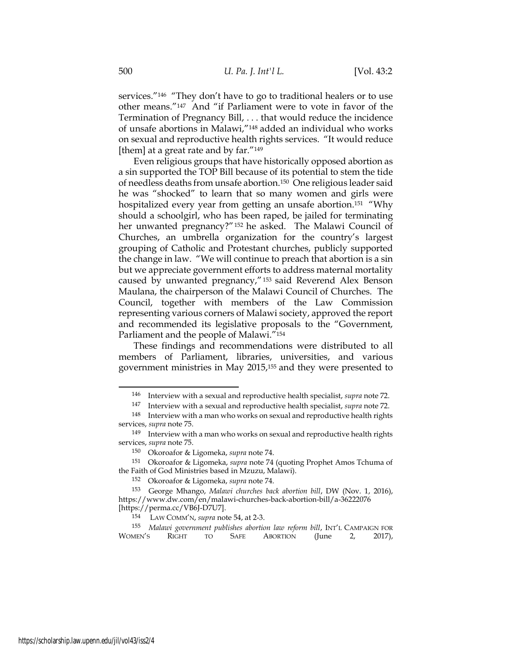services."<sup>146</sup> "They don't have to go to traditional healers or to use other means."147 And "if Parliament were to vote in favor of the Termination of Pregnancy Bill, . . . that would reduce the incidence of unsafe abortions in Malawi,"148 added an individual who works on sexual and reproductive health rights services. "It would reduce [them] at a great rate and by far."<sup>149</sup>

Even religious groups that have historically opposed abortion as a sin supported the TOP Bill because of its potential to stem the tide of needless deaths from unsafe abortion.150 One religious leader said he was "shocked" to learn that so many women and girls were hospitalized every year from getting an unsafe abortion.<sup>151</sup> "Why should a schoolgirl, who has been raped, be jailed for terminating her unwanted pregnancy?"<sup>152</sup> he asked. The Malawi Council of Churches, an umbrella organization for the country's largest grouping of Catholic and Protestant churches, publicly supported the change in law. "We will continue to preach that abortion is a sin but we appreciate government efforts to address maternal mortality caused by unwanted pregnancy,"153 said Reverend Alex Benson Maulana, the chairperson of the Malawi Council of Churches. The Council, together with members of the Law Commission representing various corners of Malawi society, approved the report and recommended its legislative proposals to the "Government, Parliament and the people of Malawi."<sup>154</sup>

These findings and recommendations were distributed to all members of Parliament, libraries, universities, and various government ministries in May 2015,155 and they were presented to

<sup>146</sup> Interview with a sexual and reproductive health specialist, supra note 72.

<sup>147</sup> Interview with a sexual and reproductive health specialist, supra note 72.

<sup>148</sup> Interview with a man who works on sexual and reproductive health rights services, supra note 75.

<sup>149</sup> Interview with a man who works on sexual and reproductive health rights services, supra note 75.

<sup>150</sup> Okoroafor & Ligomeka, supra note 74.

<sup>151</sup> Okoroafor & Ligomeka, supra note 74 (quoting Prophet Amos Tchuma of the Faith of God Ministries based in Mzuzu, Malawi).

<sup>152</sup> Okoroafor & Ligomeka, supra note 74.

<sup>153</sup> George Mhango, Malawi churches back abortion bill, DW (Nov. 1, 2016), https://www.dw.com/en/malawi-churches-back-abortion-bill/a-36222076 [https://perma.cc/VB6J-D7U7].

<sup>154</sup> LAW COMM'N, supra note 54, at 2-3.

<sup>155</sup> Malawi government publishes abortion law reform bill, INT'L CAMPAIGN FOR WOMEN'S RIGHT TO SAFE ABORTION (June 2, 2017),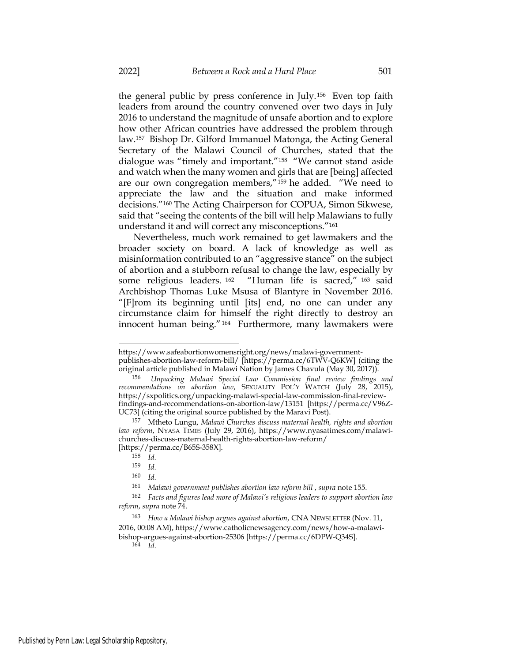the general public by press conference in July.156 Even top faith leaders from around the country convened over two days in July 2016 to understand the magnitude of unsafe abortion and to explore how other African countries have addressed the problem through law.157 Bishop Dr. Gilford Immanuel Matonga, the Acting General Secretary of the Malawi Council of Churches, stated that the dialogue was "timely and important."158 "We cannot stand aside and watch when the many women and girls that are [being] affected are our own congregation members,"159 he added. "We need to appreciate the law and the situation and make informed decisions."160 The Acting Chairperson for COPUA, Simon Sikwese, said that "seeing the contents of the bill will help Malawians to fully understand it and will correct any misconceptions."<sup>161</sup>

Nevertheless, much work remained to get lawmakers and the broader society on board. A lack of knowledge as well as misinformation contributed to an "aggressive stance" on the subject of abortion and a stubborn refusal to change the law, especially by some religious leaders. <sup>162</sup> "Human life is sacred," <sup>163</sup> said Archbishop Thomas Luke Msusa of Blantyre in November 2016. "[F]rom its beginning until [its] end, no one can under any circumstance claim for himself the right directly to destroy an innocent human being."164 Furthermore, many lawmakers were

https://www.safeabortionwomensright.org/news/malawi-governmentpublishes-abortion-law-reform-bill/ [https://perma.cc/6TWV-Q6KW] (citing the original article published in Malawi Nation by James Chavula (May 30, 2017)).

<sup>156</sup> Unpacking Malawi Special Law Commission final review findings and recommendations on abortion law, SEXUALITY POL'Y WATCH (July 28, 2015), https://sxpolitics.org/unpacking-malawi-special-law-commission-final-reviewfindings-and-recommendations-on-abortion-law/13151 [https://perma.cc/V96Z-UC73] (citing the original source published by the Maravi Post).

<sup>157</sup> Mtheto Lungu, Malawi Churches discuss maternal health, rights and abortion law reform, NYASA TIMES (July 29, 2016), https://www.nyasatimes.com/malawichurches-discuss-maternal-health-rights-abortion-law-reform/ [https://perma.cc/B65S-358X].

<sup>158</sup> Id.

 $159$  *Id.* 

 $160$  Id.

<sup>161</sup> Malawi government publishes abortion law reform bill, supra note 155.

<sup>162</sup> Facts and figures lead more of Malawi's religious leaders to support abortion law reform, supra note 74.

<sup>163</sup> How a Malawi bishop argues against abortion, CNA NEWSLETTER (Nov. 11, 2016, 00:08 AM), https://www.catholicnewsagency.com/news/how-a-malawibishop-argues-against-abortion-25306 [https://perma.cc/6DPW-Q34S].  $164$  Id.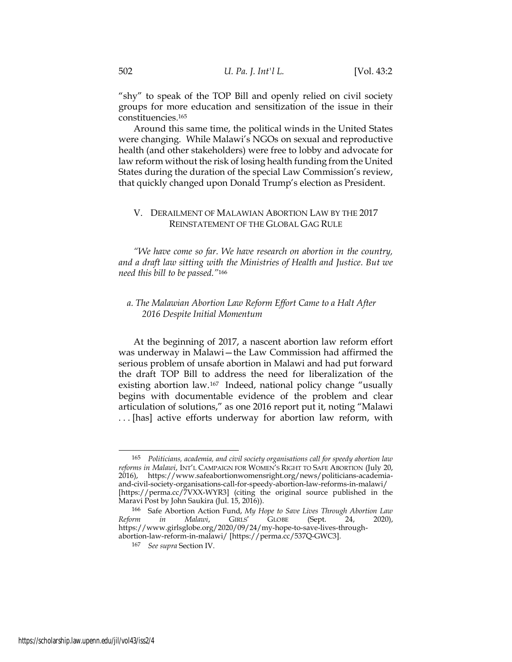"shy" to speak of the TOP Bill and openly relied on civil society groups for more education and sensitization of the issue in their constituencies.<sup>165</sup>

Around this same time, the political winds in the United States were changing. While Malawi's NGOs on sexual and reproductive health (and other stakeholders) were free to lobby and advocate for law reform without the risk of losing health funding from the United States during the duration of the special Law Commission's review, that quickly changed upon Donald Trump's election as President.

## V. DERAILMENT OF MALAWIAN ABORTION LAW BY THE 2017 REINSTATEMENT OF THE GLOBAL GAG RULE

"We have come so far. We have research on abortion in the country, and a draft law sitting with the Ministries of Health and Justice. But we need this bill to be passed."<sup>166</sup>

## a. The Malawian Abortion Law Reform Effort Came to a Halt After 2016 Despite Initial Momentum

At the beginning of 2017, a nascent abortion law reform effort was underway in Malawi—the Law Commission had affirmed the serious problem of unsafe abortion in Malawi and had put forward the draft TOP Bill to address the need for liberalization of the existing abortion law.167 Indeed, national policy change "usually begins with documentable evidence of the problem and clear articulation of solutions," as one 2016 report put it, noting "Malawi . . . [has] active efforts underway for abortion law reform, with

<sup>165</sup> Politicians, academia, and civil society organisations call for speedy abortion law reforms in Malawi, INT'L CAMPAIGN FOR WOMEN'S RIGHT TO SAFE ABORTION (July 20, 2016), https://www.safeabortionwomensright.org/news/politicians-academiaand-civil-society-organisations-call-for-speedy-abortion-law-reforms-in-malawi/ [https://perma.cc/7VXX-WYR3] (citing the original source published in the Maravi Post by John Saukira (Jul. 15, 2016)).

<sup>&</sup>lt;sup>166</sup> Safe Abortion Action Fund, My Hope to Save Lives Through Abortion Law<br>
<sup>166</sup> Since 24, 2020), CIRLS' GLOBE (Sept. 24, 2020), Reform in Malawi, GIRLS' GLOBE (Sept. 24, 2020), https://www.girlsglobe.org/2020/09/24/my-hope-to-save-lives-throughabortion-law-reform-in-malawi/ [https://perma.cc/537Q-GWC3].

<sup>167</sup> See supra Section IV.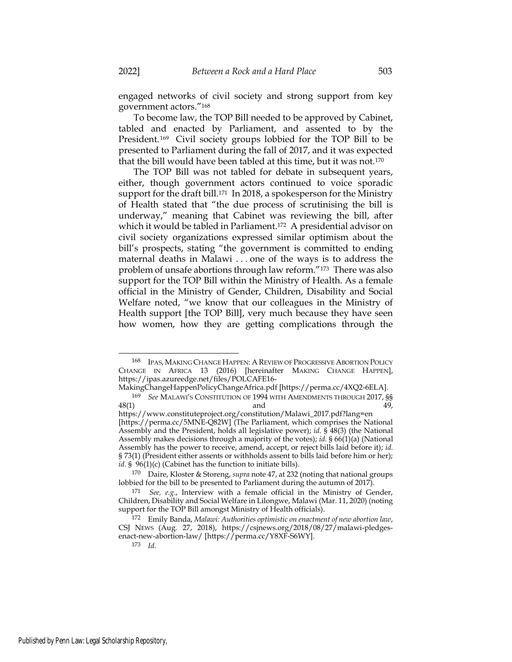engaged networks of civil society and strong support from key government actors."<sup>168</sup>

To become law, the TOP Bill needed to be approved by Cabinet, tabled and enacted by Parliament, and assented to by the President.169 Civil society groups lobbied for the TOP Bill to be presented to Parliament during the fall of 2017, and it was expected that the bill would have been tabled at this time, but it was not.<sup>170</sup>

The TOP Bill was not tabled for debate in subsequent years, either, though government actors continued to voice sporadic support for the draft bill.<sup>171</sup> In 2018, a spokesperson for the Ministry of Health stated that "the due process of scrutinising the bill is underway," meaning that Cabinet was reviewing the bill, after which it would be tabled in Parliament.<sup>172</sup> A presidential advisor on civil society organizations expressed similar optimism about the bill's prospects, stating "the government is committed to ending maternal deaths in Malawi . . . one of the ways is to address the problem of unsafe abortions through law reform."173 There was also support for the TOP Bill within the Ministry of Health. As a female official in the Ministry of Gender, Children, Disability and Social Welfare noted, "we know that our colleagues in the Ministry of Health support [the TOP Bill], very much because they have seen how women, how they are getting complications through the

<sup>168</sup> IPAS, MAKING CHANGE HAPPEN: A REVIEW OF PROGRESSIVE ABORTION POLICY CHANGE IN AFRICA 13 (2016) [hereinafter MAKING CHANGE HAPPEN], https://ipas.azureedge.net/files/POLCAFE16-

MakingChangeHappenPolicyChangeAfrica.pdf [https://perma.cc/4XQ2-6ELA].

<sup>&</sup>lt;sup>169</sup> See MALAWI'S CONSTITUTION OF 1994 WITH AMENDMENTS THROUGH 2017, \$\$ 48(1) and 49,

https://www.constituteproject.org/constitution/Malawi\_2017.pdf?lang=en [https://perma.cc/5MNE-Q82W] (The Parliament, which comprises the National Assembly and the President, holds all legislative power); id. § 48(3) (the National Assembly makes decisions through a majority of the votes); id.  $\S$  66(1)(a) (National Assembly has the power to receive, amend, accept, or reject bills laid before it); id. § 73(1) (President either assents or withholds assent to bills laid before him or her); *id.* §  $96(1)(c)$  (Cabinet has the function to initiate bills).

<sup>&</sup>lt;sup>170</sup> Daire, Kloster & Storeng, *supra* note 47, at 232 (noting that national groups lobbied for the bill to be presented to Parliament during the autumn of 2017).

 $171$  See, e.g., Interview with a female official in the Ministry of Gender, Children, Disability and Social Welfare in Lilongwe, Malawi (Mar. 11, 2020) (noting support for the TOP Bill amongst Ministry of Health officials).

<sup>172</sup> Emily Banda, Malawi: Authorities optimistic on enactment of new abortion law, CSJ NEWS (Aug. 27, 2018), https://csjnews.org/2018/08/27/malawi-pledgesenact-new-abortion-law/ [https://perma.cc/Y8XF-S6WY].

 $173$  *Id.*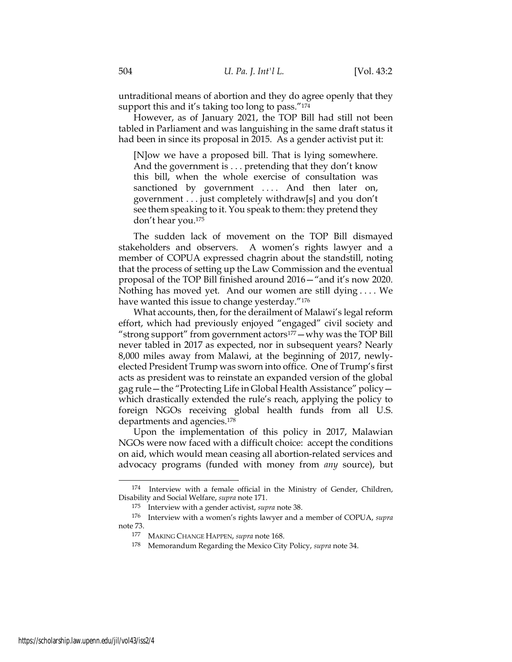untraditional means of abortion and they do agree openly that they support this and it's taking too long to pass."<sup>174</sup>

However, as of January 2021, the TOP Bill had still not been tabled in Parliament and was languishing in the same draft status it had been in since its proposal in 2015. As a gender activist put it:

[N]ow we have a proposed bill. That is lying somewhere. And the government is . . . pretending that they don't know this bill, when the whole exercise of consultation was sanctioned by government .... And then later on, government . . . just completely withdraw[s] and you don't see them speaking to it. You speak to them: they pretend they don't hear you.<sup>175</sup>

The sudden lack of movement on the TOP Bill dismayed stakeholders and observers. A women's rights lawyer and a member of COPUA expressed chagrin about the standstill, noting that the process of setting up the Law Commission and the eventual proposal of the TOP Bill finished around 2016—"and it's now 2020. Nothing has moved yet. And our women are still dying . . . . We have wanted this issue to change yesterday."<sup>176</sup>

What accounts, then, for the derailment of Malawi's legal reform effort, which had previously enjoyed "engaged" civil society and "strong support" from government actors $177 -$ why was the TOP Bill never tabled in 2017 as expected, nor in subsequent years? Nearly 8,000 miles away from Malawi, at the beginning of 2017, newlyelected President Trump was sworn into office. One of Trump's first acts as president was to reinstate an expanded version of the global gag rule—the "Protecting Life in Global Health Assistance" policy which drastically extended the rule's reach, applying the policy to foreign NGOs receiving global health funds from all U.S. departments and agencies.<sup>178</sup>

Upon the implementation of this policy in 2017, Malawian NGOs were now faced with a difficult choice: accept the conditions on aid, which would mean ceasing all abortion-related services and advocacy programs (funded with money from any source), but

<sup>174</sup> Interview with a female official in the Ministry of Gender, Children, Disability and Social Welfare, supra note 171.

<sup>175</sup> Interview with a gender activist, supra note 38.

<sup>176</sup> Interview with a women's rights lawyer and a member of COPUA, supra note 73.

<sup>177</sup> MAKING CHANGE HAPPEN, supra note 168.

<sup>178</sup> Memorandum Regarding the Mexico City Policy, supra note 34.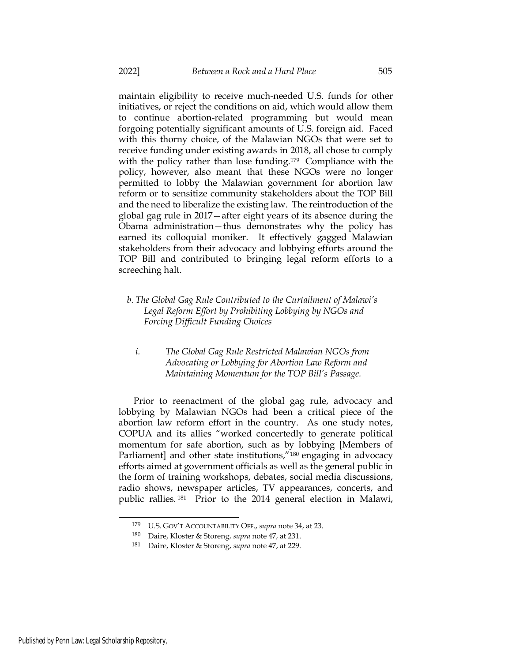maintain eligibility to receive much-needed U.S. funds for other initiatives, or reject the conditions on aid, which would allow them to continue abortion-related programming but would mean forgoing potentially significant amounts of U.S. foreign aid. Faced with this thorny choice, of the Malawian NGOs that were set to receive funding under existing awards in 2018, all chose to comply with the policy rather than lose funding.<sup>179</sup> Compliance with the policy, however, also meant that these NGOs were no longer permitted to lobby the Malawian government for abortion law reform or to sensitize community stakeholders about the TOP Bill and the need to liberalize the existing law. The reintroduction of the global gag rule in 2017—after eight years of its absence during the Obama administration—thus demonstrates why the policy has earned its colloquial moniker. It effectively gagged Malawian stakeholders from their advocacy and lobbying efforts around the TOP Bill and contributed to bringing legal reform efforts to a screeching halt.

- b. The Global Gag Rule Contributed to the Curtailment of Malawi's Legal Reform Effort by Prohibiting Lobbying by NGOs and Forcing Difficult Funding Choices
	- i. The Global Gag Rule Restricted Malawian NGOs from Advocating or Lobbying for Abortion Law Reform and Maintaining Momentum for the TOP Bill's Passage.

Prior to reenactment of the global gag rule, advocacy and lobbying by Malawian NGOs had been a critical piece of the abortion law reform effort in the country. As one study notes, COPUA and its allies "worked concertedly to generate political momentum for safe abortion, such as by lobbying [Members of Parliament] and other state institutions,"<sup>180</sup> engaging in advocacy efforts aimed at government officials as well as the general public in the form of training workshops, debates, social media discussions, radio shows, newspaper articles, TV appearances, concerts, and public rallies. <sup>181</sup> Prior to the 2014 general election in Malawi,

<sup>179</sup> U.S. GOV'T ACCOUNTABILITY OFF., supra note 34, at 23.

<sup>180</sup> Daire, Kloster & Storeng, supra note 47, at 231.

<sup>181</sup> Daire, Kloster & Storeng, supra note 47, at 229.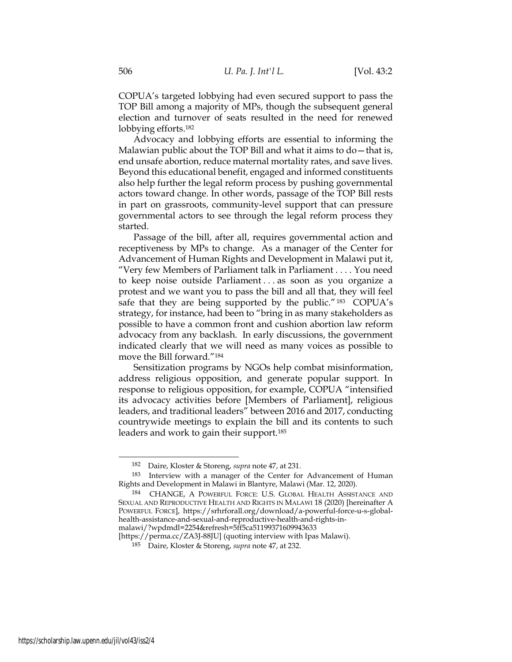COPUA's targeted lobbying had even secured support to pass the TOP Bill among a majority of MPs, though the subsequent general election and turnover of seats resulted in the need for renewed lobbying efforts.<sup>182</sup>

Advocacy and lobbying efforts are essential to informing the Malawian public about the TOP Bill and what it aims to do—that is, end unsafe abortion, reduce maternal mortality rates, and save lives. Beyond this educational benefit, engaged and informed constituents also help further the legal reform process by pushing governmental actors toward change. In other words, passage of the TOP Bill rests in part on grassroots, community-level support that can pressure governmental actors to see through the legal reform process they started.

Passage of the bill, after all, requires governmental action and receptiveness by MPs to change. As a manager of the Center for Advancement of Human Rights and Development in Malawi put it, "Very few Members of Parliament talk in Parliament . . . . You need to keep noise outside Parliament . . . as soon as you organize a protest and we want you to pass the bill and all that, they will feel safe that they are being supported by the public."<sup>183</sup> COPUA's strategy, for instance, had been to "bring in as many stakeholders as possible to have a common front and cushion abortion law reform advocacy from any backlash. In early discussions, the government indicated clearly that we will need as many voices as possible to move the Bill forward."<sup>184</sup>

Sensitization programs by NGOs help combat misinformation, address religious opposition, and generate popular support. In response to religious opposition, for example, COPUA "intensified its advocacy activities before [Members of Parliament], religious leaders, and traditional leaders" between 2016 and 2017, conducting countrywide meetings to explain the bill and its contents to such leaders and work to gain their support.<sup>185</sup>

<sup>182</sup> Daire, Kloster & Storeng, supra note 47, at 231.

<sup>183</sup> Interview with a manager of the Center for Advancement of Human Rights and Development in Malawi in Blantyre, Malawi (Mar. 12, 2020).

<sup>184</sup> CHANGE, A POWERFUL FORCE: U.S. GLOBAL HEALTH ASSISTANCE AND SEXUAL AND REPRODUCTIVE HEALTH AND RIGHTS IN MALAWI 18 (2020) [hereinafter A POWERFUL FORCE], https://srhrforall.org/download/a-powerful-force-u-s-globalhealth-assistance-and-sexual-and-reproductive-health-and-rights-inmalawi/?wpdmdl=2254&refresh=5ff5ca51199371609943633

<sup>[</sup>https://perma.cc/ZA3J-88JU] (quoting interview with Ipas Malawi).

<sup>185</sup> Daire, Kloster & Storeng, supra note 47, at 232.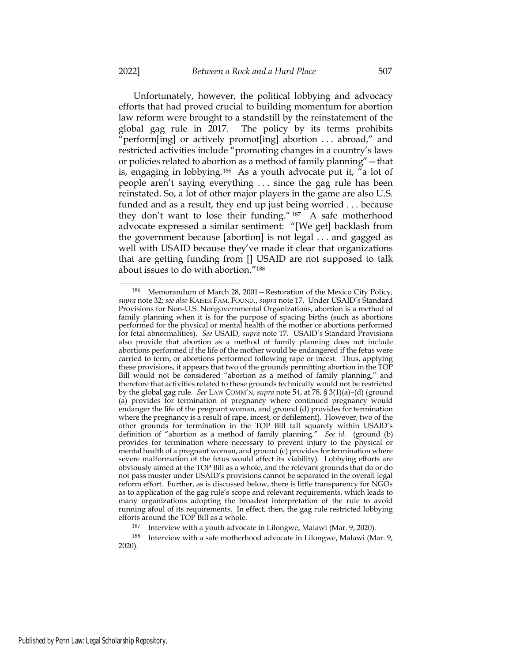Unfortunately, however, the political lobbying and advocacy efforts that had proved crucial to building momentum for abortion law reform were brought to a standstill by the reinstatement of the global gag rule in 2017. The policy by its terms prohibits "perform[ing] or actively promot[ing] abortion . . . abroad," and

restricted activities include "promoting changes in a country's laws or policies related to abortion as a method of family planning"—that is, engaging in lobbying.186 As a youth advocate put it, "a lot of people aren't saying everything . . . since the gag rule has been reinstated. So, a lot of other major players in the game are also U.S. funded and as a result, they end up just being worried . . . because they don't want to lose their funding." <sup>187</sup> A safe motherhood advocate expressed a similar sentiment: "[We get] backlash from the government because [abortion] is not legal . . . and gagged as well with USAID because they've made it clear that organizations that are getting funding from [] USAID are not supposed to talk about issues to do with abortion."<sup>188</sup>

<sup>186</sup> Memorandum of March 28, 2001—Restoration of the Mexico City Policy, supra note 32; see also KAISER FAM. FOUND., supra note 17. Under USAID's Standard Provisions for Non-U.S. Nongovernmental Organizations, abortion is a method of family planning when it is for the purpose of spacing births (such as abortions performed for the physical or mental health of the mother or abortions performed for fetal abnormalities). See USAID, supra note 17. USAID's Standard Provisions also provide that abortion as a method of family planning does not include abortions performed if the life of the mother would be endangered if the fetus were carried to term, or abortions performed following rape or incest. Thus, applying these provisions, it appears that two of the grounds permitting abortion in the TOP Bill would not be considered "abortion as a method of family planning," and therefore that activities related to these grounds technically would not be restricted by the global gag rule. See LAW COMM'N, supra note 54, at 78, § 3(1)(a)–(d) (ground (a) provides for termination of pregnancy where continued pregnancy would endanger the life of the pregnant woman, and ground (d) provides for termination where the pregnancy is a result of rape, incest, or defilement). However, two of the other grounds for termination in the TOP Bill fall squarely within USAID's definition of "abortion as a method of family planning." See id. (ground (b) provides for termination where necessary to prevent injury to the physical or mental health of a pregnant woman, and ground (c) provides for termination where severe malformation of the fetus would affect its viability). Lobbying efforts are obviously aimed at the TOP Bill as a whole, and the relevant grounds that do or do not pass muster under USAID's provisions cannot be separated in the overall legal reform effort. Further, as is discussed below, there is little transparency for NGOs as to application of the gag rule's scope and relevant requirements, which leads to many organizations adopting the broadest interpretation of the rule to avoid running afoul of its requirements. In effect, then, the gag rule restricted lobbying efforts around the TOP Bill as a whole.

<sup>&</sup>lt;sup>187</sup> Interview with a youth advocate in Lilongwe, Malawi (Mar. 9, 2020).

<sup>188</sup> Interview with a safe motherhood advocate in Lilongwe, Malawi (Mar. 9, 2020).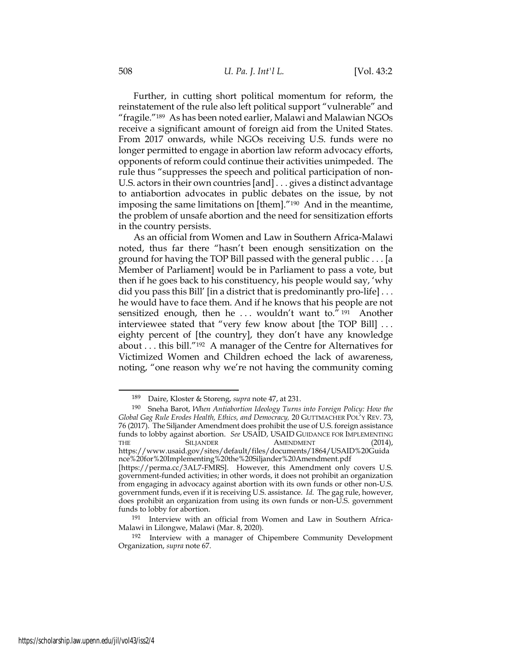Further, in cutting short political momentum for reform, the reinstatement of the rule also left political support "vulnerable" and "fragile."189 As has been noted earlier, Malawi and Malawian NGOs receive a significant amount of foreign aid from the United States. From 2017 onwards, while NGOs receiving U.S. funds were no longer permitted to engage in abortion law reform advocacy efforts, opponents of reform could continue their activities unimpeded. The rule thus "suppresses the speech and political participation of non-U.S. actors in their own countries [and] . . . gives a distinct advantage to antiabortion advocates in public debates on the issue, by not imposing the same limitations on [them]."190 And in the meantime, the problem of unsafe abortion and the need for sensitization efforts in the country persists.

As an official from Women and Law in Southern Africa-Malawi noted, thus far there "hasn't been enough sensitization on the ground for having the TOP Bill passed with the general public . . . [a Member of Parliament] would be in Parliament to pass a vote, but then if he goes back to his constituency, his people would say, 'why did you pass this Bill' [in a district that is predominantly pro-life] . . . he would have to face them. And if he knows that his people are not sensitized enough, then he ... wouldn't want to."<sup>191</sup> Another interviewee stated that "very few know about [the TOP Bill] . . . eighty percent of [the country], they don't have any knowledge about . . . this bill."192 A manager of the Centre for Alternatives for Victimized Women and Children echoed the lack of awareness, noting, "one reason why we're not having the community coming

<sup>189</sup> Daire, Kloster & Storeng, supra note 47, at 231.

<sup>190</sup> Sneha Barot, When Antiabortion Ideology Turns into Foreign Policy: How the Global Gag Rule Erodes Health, Ethics, and Democracy, 20 GUTTMACHER POL'Y REV. 73, 76 (2017). The Siljander Amendment does prohibit the use of U.S. foreign assistance funds to lobby against abortion. See USAID, USAID GUIDANCE FOR IMPLEMENTING THE SILJANDER AMENDMENT (2014), https://www.usaid.gov/sites/default/files/documents/1864/USAID%20Guida nce%20for%20Implementing%20the%20Siljander%20Amendment.pdf

<sup>[</sup>https://perma.cc/3AL7-FMRS]. However, this Amendment only covers U.S. government-funded activities; in other words, it does not prohibit an organization from engaging in advocacy against abortion with its own funds or other non-U.S. government funds, even if it is receiving U.S. assistance. Id. The gag rule, however, does prohibit an organization from using its own funds or non-U.S. government funds to lobby for abortion.

<sup>191</sup> Interview with an official from Women and Law in Southern Africa-Malawi in Lilongwe, Malawi (Mar. 8, 2020).

<sup>192</sup> Interview with a manager of Chipembere Community Development Organization, supra note 67.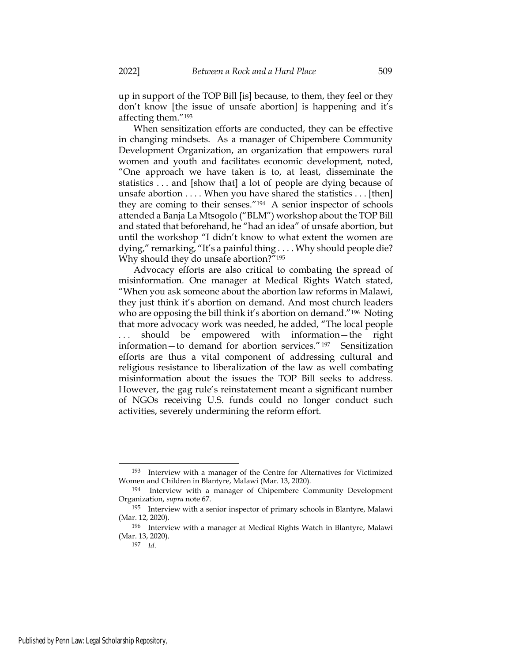up in support of the TOP Bill [is] because, to them, they feel or they don't know [the issue of unsafe abortion] is happening and it's affecting them."<sup>193</sup>

When sensitization efforts are conducted, they can be effective in changing mindsets. As a manager of Chipembere Community Development Organization, an organization that empowers rural women and youth and facilitates economic development, noted, "One approach we have taken is to, at least, disseminate the statistics . . . and [show that] a lot of people are dying because of unsafe abortion . . . . When you have shared the statistics . . . [then] they are coming to their senses."194 A senior inspector of schools attended a Banja La Mtsogolo ("BLM") workshop about the TOP Bill and stated that beforehand, he "had an idea" of unsafe abortion, but until the workshop "I didn't know to what extent the women are dying," remarking, "It's a painful thing . . . . Why should people die? Why should they do unsafe abortion?"<sup>195</sup>

Advocacy efforts are also critical to combating the spread of misinformation. One manager at Medical Rights Watch stated, "When you ask someone about the abortion law reforms in Malawi, they just think it's abortion on demand. And most church leaders who are opposing the bill think it's abortion on demand."<sup>196</sup> Noting that more advocacy work was needed, he added, "The local people ... should be empowered with information—the right information—to demand for abortion services." <sup>197</sup> Sensitization efforts are thus a vital component of addressing cultural and religious resistance to liberalization of the law as well combating misinformation about the issues the TOP Bill seeks to address. However, the gag rule's reinstatement meant a significant number of NGOs receiving U.S. funds could no longer conduct such activities, severely undermining the reform effort.

<sup>193</sup> Interview with a manager of the Centre for Alternatives for Victimized Women and Children in Blantyre, Malawi (Mar. 13, 2020).

<sup>194</sup> Interview with a manager of Chipembere Community Development Organization, supra note 67.

<sup>195</sup> Interview with a senior inspector of primary schools in Blantyre, Malawi (Mar. 12, 2020).

<sup>196</sup> Interview with a manager at Medical Rights Watch in Blantyre, Malawi (Mar. 13, 2020).

<sup>197</sup> Id.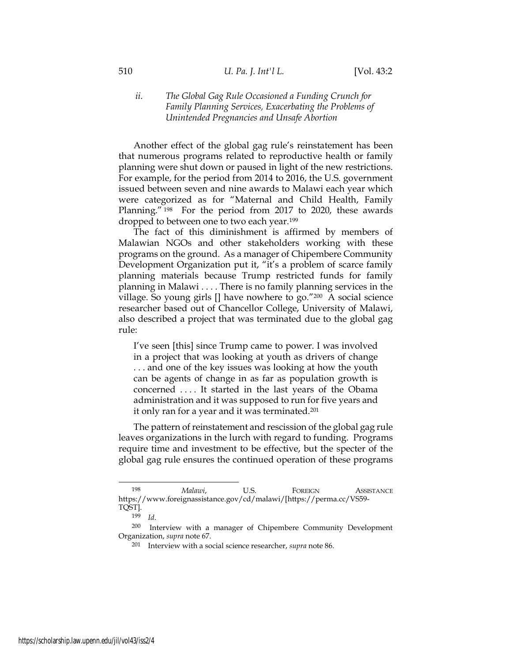# ii. The Global Gag Rule Occasioned a Funding Crunch for Family Planning Services, Exacerbating the Problems of Unintended Pregnancies and Unsafe Abortion

Another effect of the global gag rule's reinstatement has been that numerous programs related to reproductive health or family planning were shut down or paused in light of the new restrictions. For example, for the period from 2014 to 2016, the U.S. government issued between seven and nine awards to Malawi each year which were categorized as for "Maternal and Child Health, Family Planning." <sup>198</sup> For the period from 2017 to 2020, these awards dropped to between one to two each year.<sup>199</sup>

The fact of this diminishment is affirmed by members of Malawian NGOs and other stakeholders working with these programs on the ground. As a manager of Chipembere Community Development Organization put it, "it's a problem of scarce family planning materials because Trump restricted funds for family planning in Malawi . . . . There is no family planning services in the village. So young girls [] have nowhere to go."200 A social science researcher based out of Chancellor College, University of Malawi, also described a project that was terminated due to the global gag rule:

I've seen [this] since Trump came to power. I was involved in a project that was looking at youth as drivers of change . . . and one of the key issues was looking at how the youth can be agents of change in as far as population growth is concerned . . . . It started in the last years of the Obama administration and it was supposed to run for five years and it only ran for a year and it was terminated.<sup>201</sup>

The pattern of reinstatement and rescission of the global gag rule leaves organizations in the lurch with regard to funding. Programs require time and investment to be effective, but the specter of the global gag rule ensures the continued operation of these programs

<sup>198</sup> Malawi, U.S. FOREIGN ASSISTANCE https://www.foreignassistance.gov/cd/malawi/[https://perma.cc/VS59- TQST].

<sup>199</sup> Id.

<sup>200</sup> Interview with a manager of Chipembere Community Development Organization, supra note 67.

 $201$  Interview with a social science researcher, supra note 86.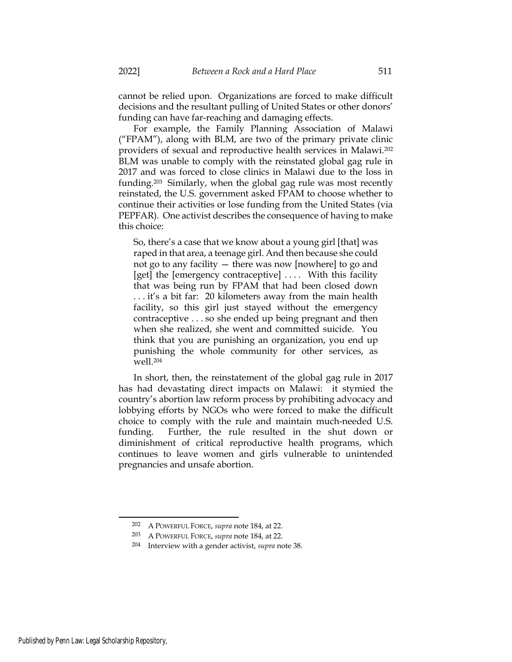cannot be relied upon. Organizations are forced to make difficult decisions and the resultant pulling of United States or other donors' funding can have far-reaching and damaging effects.

For example, the Family Planning Association of Malawi ("FPAM"), along with BLM, are two of the primary private clinic providers of sexual and reproductive health services in Malawi.<sup>202</sup> BLM was unable to comply with the reinstated global gag rule in 2017 and was forced to close clinics in Malawi due to the loss in funding.203 Similarly, when the global gag rule was most recently reinstated, the U.S. government asked FPAM to choose whether to continue their activities or lose funding from the United States (via PEPFAR). One activist describes the consequence of having to make this choice:

So, there's a case that we know about a young girl [that] was raped in that area, a teenage girl. And then because she could not go to any facility — there was now [nowhere] to go and [get] the [emergency contraceptive] .... With this facility that was being run by FPAM that had been closed down . . . it's a bit far: 20 kilometers away from the main health facility, so this girl just stayed without the emergency contraceptive . . . so she ended up being pregnant and then when she realized, she went and committed suicide. You think that you are punishing an organization, you end up punishing the whole community for other services, as well.<sup>204</sup>

In short, then, the reinstatement of the global gag rule in 2017 has had devastating direct impacts on Malawi: it stymied the country's abortion law reform process by prohibiting advocacy and lobbying efforts by NGOs who were forced to make the difficult choice to comply with the rule and maintain much-needed U.S. funding. Further, the rule resulted in the shut down or diminishment of critical reproductive health programs, which continues to leave women and girls vulnerable to unintended pregnancies and unsafe abortion.

<sup>202</sup> A POWERFUL FORCE, supra note 184, at 22.

<sup>203</sup> A POWERFUL FORCE, supra note 184, at 22.

<sup>&</sup>lt;sup>204</sup> Interview with a gender activist, *supra* note 38.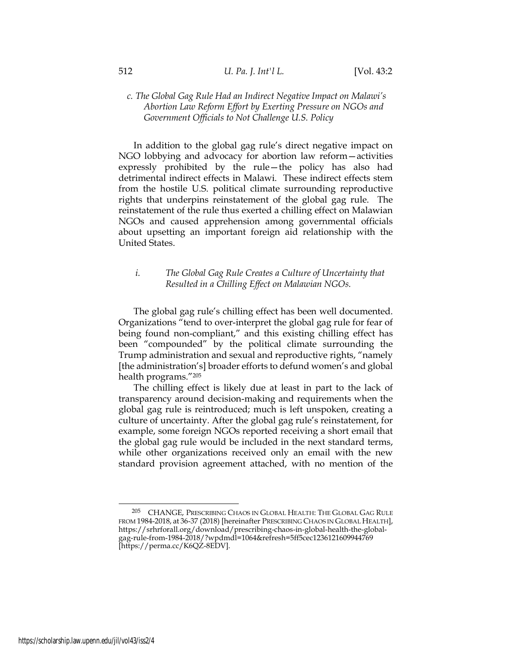# c. The Global Gag Rule Had an Indirect Negative Impact on Malawi's Abortion Law Reform Effort by Exerting Pressure on NGOs and Government Officials to Not Challenge U.S. Policy

In addition to the global gag rule's direct negative impact on NGO lobbying and advocacy for abortion law reform—activities expressly prohibited by the rule—the policy has also had detrimental indirect effects in Malawi. These indirect effects stem from the hostile U.S. political climate surrounding reproductive rights that underpins reinstatement of the global gag rule. The reinstatement of the rule thus exerted a chilling effect on Malawian NGOs and caused apprehension among governmental officials about upsetting an important foreign aid relationship with the United States.

# i. The Global Gag Rule Creates a Culture of Uncertainty that Resulted in a Chilling Effect on Malawian NGOs.

The global gag rule's chilling effect has been well documented. Organizations "tend to over-interpret the global gag rule for fear of being found non-compliant," and this existing chilling effect has been "compounded" by the political climate surrounding the Trump administration and sexual and reproductive rights, "namely [the administration's] broader efforts to defund women's and global health programs."<sup>205</sup>

The chilling effect is likely due at least in part to the lack of transparency around decision-making and requirements when the global gag rule is reintroduced; much is left unspoken, creating a culture of uncertainty. After the global gag rule's reinstatement, for example, some foreign NGOs reported receiving a short email that the global gag rule would be included in the next standard terms, while other organizations received only an email with the new standard provision agreement attached, with no mention of the

<sup>205</sup> CHANGE, PRESCRIBING CHAOS IN GLOBAL HEALTH: THE GLOBAL GAG RULE FROM 1984-2018, at 36-37 (2018) [hereinafter PRESCRIBING CHAOS IN GLOBAL HEALTH], https://srhrforall.org/download/prescribing-chaos-in-global-health-the-globalgag-rule-from-1984-2018/?wpdmdl=1064&refresh=5ff5cec1236121609944769 [https://perma.cc/K6QZ-8EDV].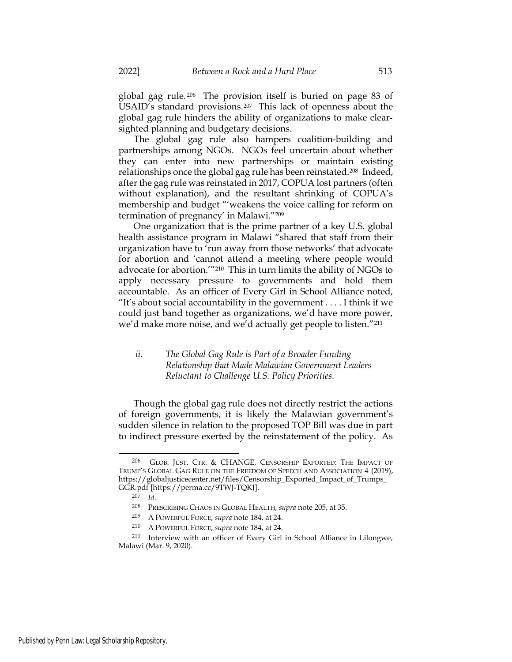global gag rule. <sup>206</sup> The provision itself is buried on page 83 of USAID's standard provisions.207 This lack of openness about the global gag rule hinders the ability of organizations to make clearsighted planning and budgetary decisions.

The global gag rule also hampers coalition-building and partnerships among NGOs. NGOs feel uncertain about whether they can enter into new partnerships or maintain existing relationships once the global gag rule has been reinstated.208 Indeed, after the gag rule was reinstated in 2017, COPUA lost partners (often without explanation), and the resultant shrinking of COPUA's membership and budget "'weakens the voice calling for reform on termination of pregnancy' in Malawi."<sup>209</sup>

One organization that is the prime partner of a key U.S. global health assistance program in Malawi "shared that staff from their organization have to 'run away from those networks' that advocate for abortion and 'cannot attend a meeting where people would advocate for abortion.'"210 This in turn limits the ability of NGOs to apply necessary pressure to governments and hold them accountable. As an officer of Every Girl in School Alliance noted, "It's about social accountability in the government . . . . I think if we could just band together as organizations, we'd have more power, we'd make more noise, and we'd actually get people to listen."<sup>211</sup>

## ii. The Global Gag Rule is Part of a Broader Funding Relationship that Made Malawian Government Leaders Reluctant to Challenge U.S. Policy Priorities.

Though the global gag rule does not directly restrict the actions of foreign governments, it is likely the Malawian government's sudden silence in relation to the proposed TOP Bill was due in part to indirect pressure exerted by the reinstatement of the policy. As

<sup>206</sup> GLOB. JUST. CTR. & CHANGE, CENSORSHIP EXPORTED: THE IMPACT OF TRUMP'S GLOBAL GAG RULE ON THE FREEDOM OF SPEECH AND ASSOCIATION 4 (2019), https://globaljusticecenter.net/files/Censorship\_Exported\_Impact\_of\_Trumps\_ GGR.pdf [https://perma.cc/9TWJ-TQKJ].

 $207$  *Id.* 

<sup>208</sup> PRESCRIBING CHAOS IN GLOBAL HEALTH, supra note 205, at 35.

<sup>209</sup> A POWERFUL FORCE, supra note 184, at 24.

<sup>210</sup> A POWERFUL FORCE, supra note 184, at 24.

<sup>211</sup> Interview with an officer of Every Girl in School Alliance in Lilongwe, Malawi (Mar. 9, 2020).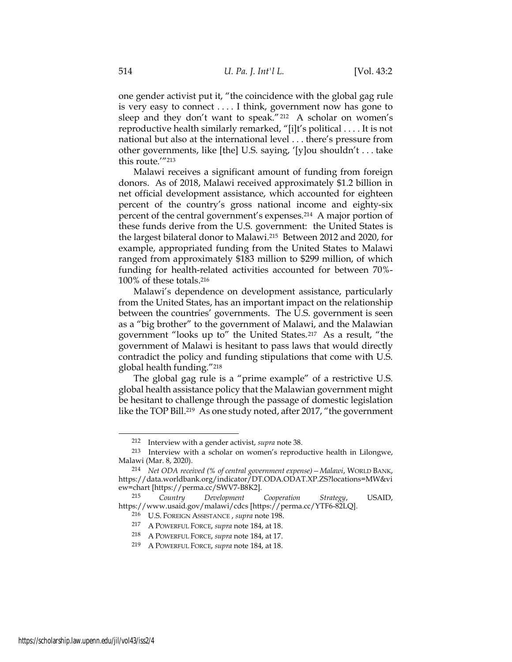one gender activist put it, "the coincidence with the global gag rule is very easy to connect . . . . I think, government now has gone to sleep and they don't want to speak."212 A scholar on women's reproductive health similarly remarked, "[i]t's political . . . . It is not national but also at the international level . . . there's pressure from other governments, like [the] U.S. saying, '[y]ou shouldn't . . . take this route.'"<sup>213</sup>

Malawi receives a significant amount of funding from foreign donors. As of 2018, Malawi received approximately \$1.2 billion in net official development assistance, which accounted for eighteen percent of the country's gross national income and eighty-six percent of the central government's expenses.214 A major portion of these funds derive from the U.S. government: the United States is the largest bilateral donor to Malawi.215 Between 2012 and 2020, for example, appropriated funding from the United States to Malawi ranged from approximately \$183 million to \$299 million, of which funding for health-related activities accounted for between 70%- 100% of these totals.<sup>216</sup>

Malawi's dependence on development assistance, particularly from the United States, has an important impact on the relationship between the countries' governments. The U.S. government is seen as a "big brother" to the government of Malawi, and the Malawian government "looks up to" the United States.217 As a result, "the government of Malawi is hesitant to pass laws that would directly contradict the policy and funding stipulations that come with U.S. global health funding."<sup>218</sup>

The global gag rule is a "prime example" of a restrictive U.S. global health assistance policy that the Malawian government might be hesitant to challenge through the passage of domestic legislation like the TOP Bill.219 As one study noted, after 2017, "the government

<sup>212</sup> Interview with a gender activist, supra note 38.

<sup>213</sup> Interview with a scholar on women's reproductive health in Lilongwe, Malawi (Mar. 8, 2020).

<sup>214</sup> Net ODA received (% of central government expense)—Malawi, WORLD BANK, https://data.worldbank.org/indicator/DT.ODA.ODAT.XP.ZS?locations=MW&vi ew=chart [https://perma.cc/SWV7-B8K2].

<sup>215</sup> Country Development Cooperation Strategy, USAID, https://www.usaid.gov/malawi/cdcs [https://perma.cc/YTF6-82LQ].

<sup>216</sup> U.S. FOREIGN ASSISTANCE, supra note 198.

<sup>217</sup> A POWERFUL FORCE, supra note 184, at 18.

<sup>218</sup> A POWERFUL FORCE, supra note 184, at 17.

<sup>219</sup> A POWERFUL FORCE, supra note 184, at 18.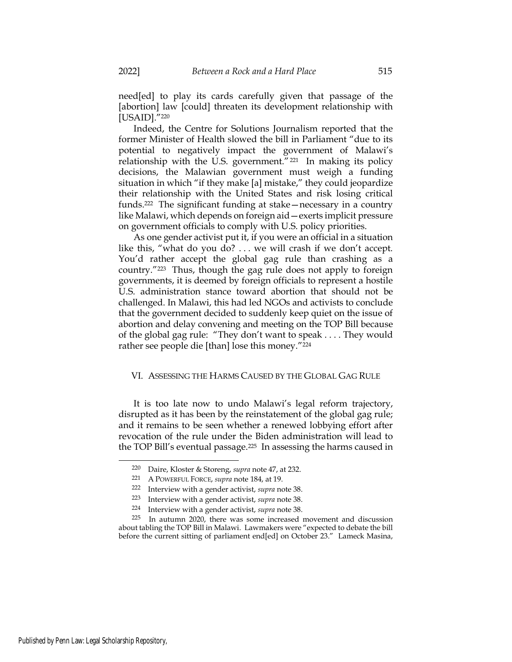need[ed] to play its cards carefully given that passage of the [abortion] law [could] threaten its development relationship with [USAID]."220

Indeed, the Centre for Solutions Journalism reported that the former Minister of Health slowed the bill in Parliament "due to its potential to negatively impact the government of Malawi's relationship with the U.S. government."<sup>221</sup> In making its policy decisions, the Malawian government must weigh a funding situation in which "if they make [a] mistake," they could jeopardize their relationship with the United States and risk losing critical funds.222 The significant funding at stake—necessary in a country like Malawi, which depends on foreign aid—exerts implicit pressure on government officials to comply with U.S. policy priorities.

As one gender activist put it, if you were an official in a situation like this, "what do you do? . . . we will crash if we don't accept. You'd rather accept the global gag rule than crashing as a country."223 Thus, though the gag rule does not apply to foreign governments, it is deemed by foreign officials to represent a hostile U.S. administration stance toward abortion that should not be challenged. In Malawi, this had led NGOs and activists to conclude that the government decided to suddenly keep quiet on the issue of abortion and delay convening and meeting on the TOP Bill because of the global gag rule: "They don't want to speak . . . . They would rather see people die [than] lose this money."<sup>224</sup>

### VI. ASSESSING THE HARMS CAUSED BY THE GLOBAL GAG RULE

It is too late now to undo Malawi's legal reform trajectory, disrupted as it has been by the reinstatement of the global gag rule; and it remains to be seen whether a renewed lobbying effort after revocation of the rule under the Biden administration will lead to the TOP Bill's eventual passage.225 In assessing the harms caused in

<sup>220</sup> Daire, Kloster & Storeng, supra note 47, at 232.

<sup>221</sup> A POWERFUL FORCE, supra note 184, at 19.

<sup>222</sup> Interview with a gender activist, supra note 38.

<sup>223</sup> Interview with a gender activist, supra note 38.

<sup>224</sup> Interview with a gender activist, supra note 38.

<sup>225</sup> In autumn 2020, there was some increased movement and discussion about tabling the TOP Bill in Malawi. Lawmakers were "expected to debate the bill before the current sitting of parliament end[ed] on October 23." Lameck Masina,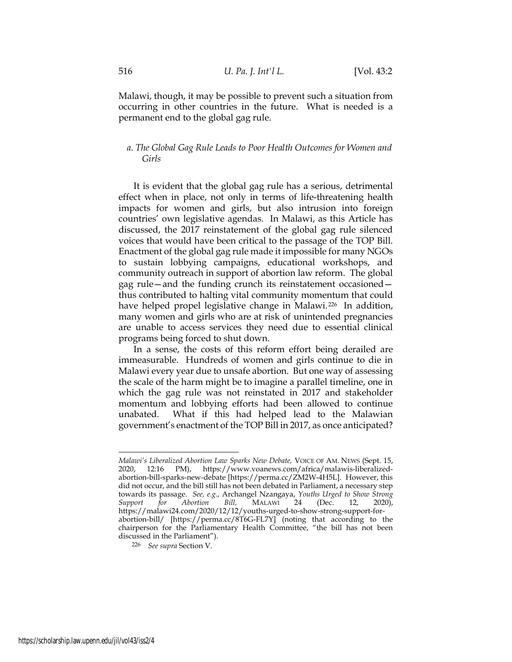Malawi, though, it may be possible to prevent such a situation from occurring in other countries in the future. What is needed is a permanent end to the global gag rule.

## a. The Global Gag Rule Leads to Poor Health Outcomes for Women and Girls

It is evident that the global gag rule has a serious, detrimental effect when in place, not only in terms of life-threatening health impacts for women and girls, but also intrusion into foreign countries' own legislative agendas. In Malawi, as this Article has discussed, the 2017 reinstatement of the global gag rule silenced voices that would have been critical to the passage of the TOP Bill. Enactment of the global gag rule made it impossible for many NGOs to sustain lobbying campaigns, educational workshops, and community outreach in support of abortion law reform. The global gag rule—and the funding crunch its reinstatement occasioned thus contributed to halting vital community momentum that could have helped propel legislative change in Malawi.<sup>226</sup> In addition, many women and girls who are at risk of unintended pregnancies are unable to access services they need due to essential clinical programs being forced to shut down.

In a sense, the costs of this reform effort being derailed are immeasurable. Hundreds of women and girls continue to die in Malawi every year due to unsafe abortion. But one way of assessing the scale of the harm might be to imagine a parallel timeline, one in which the gag rule was not reinstated in 2017 and stakeholder momentum and lobbying efforts had been allowed to continue unabated. What if this had helped lead to the Malawian government's enactment of the TOP Bill in 2017, as once anticipated?

Malawi's Liberalized Abortion Law Sparks New Debate, VOICE OF AM. NEWS (Sept. 15, 2020, 12:16 PM), https://www.voanews.com/africa/malawis-liberalizedabortion-bill-sparks-new-debate [https://perma.cc/ZM2W-4H5L]. However, this did not occur, and the bill still has not been debated in Parliament, a necessary step towards its passage. See, e.g., Archangel Nzangaya, Youths Urged to Show Strong<br>Support for Abortion Bill, MALAWI 24 (Dec. 12, 2020). Support for Abortion Bill, MALAWI 24 (Dec. 12, 2020), https://malawi24.com/2020/12/12/youths-urged-to-show-strong-support-forabortion-bill/ [https://perma.cc/8T6G-FL7Y] (noting that according to the chairperson for the Parliamentary Health Committee, "the bill has not been discussed in the Parliament").

<sup>226</sup> See supra Section V.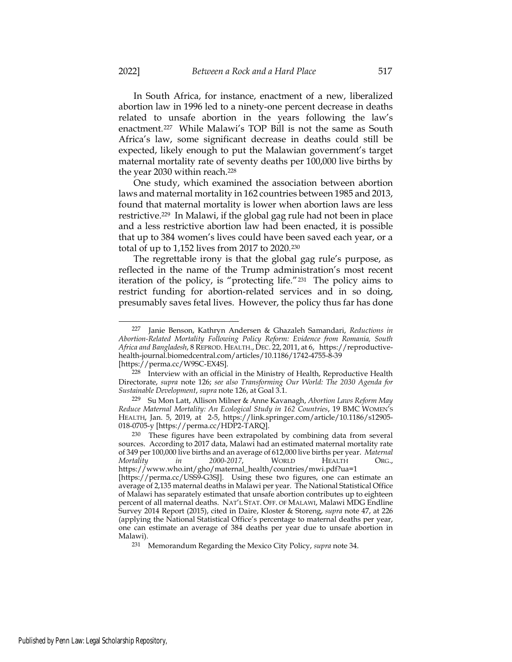In South Africa, for instance, enactment of a new, liberalized abortion law in 1996 led to a ninety-one percent decrease in deaths related to unsafe abortion in the years following the law's enactment.227 While Malawi's TOP Bill is not the same as South Africa's law, some significant decrease in deaths could still be expected, likely enough to put the Malawian government's target maternal mortality rate of seventy deaths per 100,000 live births by the year 2030 within reach.<sup>228</sup>

One study, which examined the association between abortion laws and maternal mortality in 162 countries between 1985 and 2013, found that maternal mortality is lower when abortion laws are less restrictive.229 In Malawi, if the global gag rule had not been in place and a less restrictive abortion law had been enacted, it is possible that up to 384 women's lives could have been saved each year, or a total of up to 1,152 lives from 2017 to 2020.<sup>230</sup>

The regrettable irony is that the global gag rule's purpose, as reflected in the name of the Trump administration's most recent iteration of the policy, is "protecting life."231 The policy aims to restrict funding for abortion-related services and in so doing, presumably saves fetal lives. However, the policy thus far has done

<sup>227</sup> Janie Benson, Kathryn Andersen & Ghazaleh Samandari, Reductions in Abortion-Related Mortality Following Policy Reform: Evidence from Romania, South Africa and Bangladesh, 8 REPROD. HEALTH., DEC. 22, 2011, at 6, https://reproductivehealth-journal.biomedcentral.com/articles/10.1186/1742-4755-8-39 [https://perma.cc/W9SC-EX4S].

<sup>228</sup> Interview with an official in the Ministry of Health, Reproductive Health Directorate, supra note 126; see also Transforming Our World: The 2030 Agenda for Sustainable Development, supra note 126, at Goal 3.1.

<sup>&</sup>lt;sup>229</sup> Su Mon Latt, Allison Milner & Anne Kavanagh, Abortion Laws Reform May Reduce Maternal Mortality: An Ecological Study in 162 Countries, 19 BMC WOMEN'S HEALTH, Jan. 5, 2019, at 2-5, https://link.springer.com/article/10.1186/s12905- 018-0705-y [https://perma.cc/HDP2-TARQ].

<sup>230</sup> These figures have been extrapolated by combining data from several sources. According to 2017 data, Malawi had an estimated maternal mortality rate of 349 per 100,000 live births and an average of 612,000 live births per year. Maternal Mortality in 2000-2017, WORLD HEALTH ORG., https://www.who.int/gho/maternal\_health/countries/mwi.pdf?ua=1 [https://perma.cc/USS9-G3SJ]. Using these two figures, one can estimate an average of 2,135 maternal deaths in Malawi per year. The National Statistical Office of Malawi has separately estimated that unsafe abortion contributes up to eighteen percent of all maternal deaths. NAT'L STAT. OFF. OF MALAWI, Malawi MDG Endline Survey 2014 Report (2015), cited in Daire, Kloster & Storeng, supra note 47, at 226 (applying the National Statistical Office's percentage to maternal deaths per year, one can estimate an average of 384 deaths per year due to unsafe abortion in Malawi).

<sup>&</sup>lt;sup>231</sup> Memorandum Regarding the Mexico City Policy, supra note 34.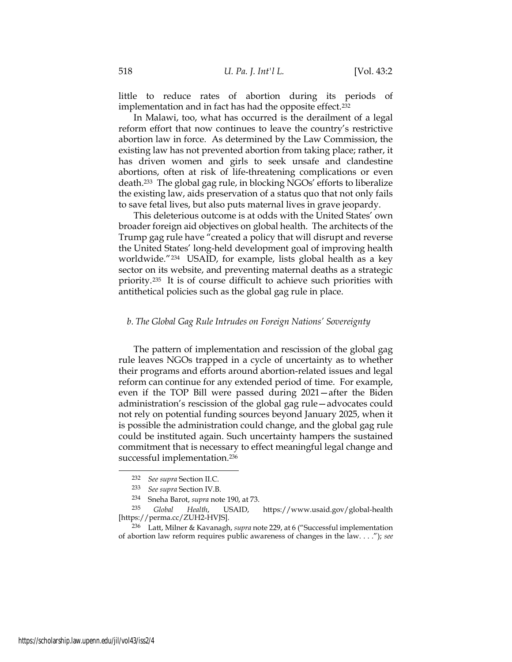little to reduce rates of abortion during its periods of implementation and in fact has had the opposite effect.<sup>232</sup>

In Malawi, too, what has occurred is the derailment of a legal reform effort that now continues to leave the country's restrictive abortion law in force. As determined by the Law Commission, the existing law has not prevented abortion from taking place; rather, it has driven women and girls to seek unsafe and clandestine abortions, often at risk of life-threatening complications or even death.233 The global gag rule, in blocking NGOs' efforts to liberalize the existing law, aids preservation of a status quo that not only fails to save fetal lives, but also puts maternal lives in grave jeopardy.

This deleterious outcome is at odds with the United States' own broader foreign aid objectives on global health. The architects of the Trump gag rule have "created a policy that will disrupt and reverse the United States' long-held development goal of improving health worldwide."234 USAID, for example, lists global health as a key sector on its website, and preventing maternal deaths as a strategic priority.235 It is of course difficult to achieve such priorities with antithetical policies such as the global gag rule in place.

### b. The Global Gag Rule Intrudes on Foreign Nations' Sovereignty

The pattern of implementation and rescission of the global gag rule leaves NGOs trapped in a cycle of uncertainty as to whether their programs and efforts around abortion-related issues and legal reform can continue for any extended period of time. For example, even if the TOP Bill were passed during 2021—after the Biden administration's rescission of the global gag rule—advocates could not rely on potential funding sources beyond January 2025, when it is possible the administration could change, and the global gag rule could be instituted again. Such uncertainty hampers the sustained commitment that is necessary to effect meaningful legal change and successful implementation.<sup>236</sup>

<sup>232</sup> See supra Section II.C.

<sup>233</sup> See supra Section IV.B.

<sup>234</sup> Sneha Barot, supra note 190, at 73.

<sup>235</sup> Global Health, USAID, https://www.usaid.gov/global-health [https://perma.cc/ZUH2-HVJS].

<sup>236</sup> Latt, Milner & Kavanagh, supra note 229, at 6 ("Successful implementation of abortion law reform requires public awareness of changes in the law. . . ."); see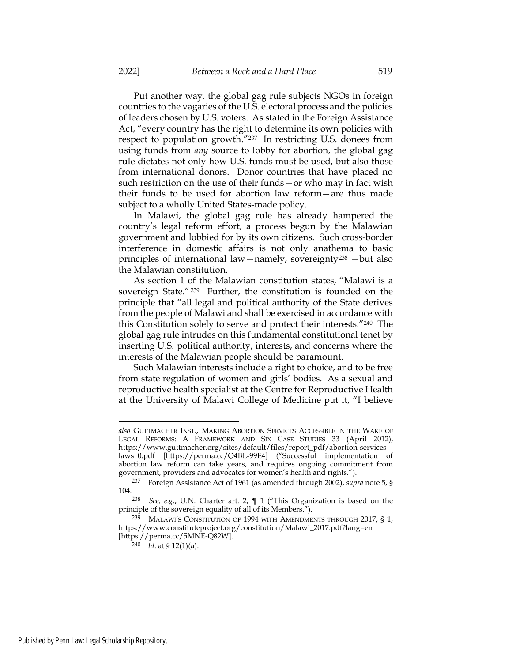Put another way, the global gag rule subjects NGOs in foreign countries to the vagaries of the U.S. electoral process and the policies of leaders chosen by U.S. voters. As stated in the Foreign Assistance Act, "every country has the right to determine its own policies with respect to population growth."237 In restricting U.S. donees from using funds from any source to lobby for abortion, the global gag rule dictates not only how U.S. funds must be used, but also those from international donors. Donor countries that have placed no such restriction on the use of their funds—or who may in fact wish their funds to be used for abortion law reform—are thus made subject to a wholly United States-made policy.

In Malawi, the global gag rule has already hampered the country's legal reform effort, a process begun by the Malawian government and lobbied for by its own citizens. Such cross-border interference in domestic affairs is not only anathema to basic principles of international law—namely, sovereignty<sup>238</sup> —but also the Malawian constitution.

As section 1 of the Malawian constitution states, "Malawi is a sovereign State." <sup>239</sup> Further, the constitution is founded on the principle that "all legal and political authority of the State derives from the people of Malawi and shall be exercised in accordance with this Constitution solely to serve and protect their interests."240 The global gag rule intrudes on this fundamental constitutional tenet by inserting U.S. political authority, interests, and concerns where the interests of the Malawian people should be paramount.

Such Malawian interests include a right to choice, and to be free from state regulation of women and girls' bodies. As a sexual and reproductive health specialist at the Centre for Reproductive Health at the University of Malawi College of Medicine put it, "I believe

also GUTTMACHER INST., MAKING ABORTION SERVICES ACCESSIBLE IN THE WAKE OF LEGAL REFORMS: A FRAMEWORK AND SIX CASE STUDIES 33 (April 2012), https://www.guttmacher.org/sites/default/files/report\_pdf/abortion-serviceslaws\_0.pdf [https://perma.cc/Q4BL-99E4] ("Successful implementation of abortion law reform can take years, and requires ongoing commitment from government, providers and advocates for women's health and rights.").

<sup>&</sup>lt;sup>237</sup> Foreign Assistance Act of 1961 (as amended through 2002), supra note 5, § 104.

<sup>&</sup>lt;sup>238</sup> See, e.g., U.N. Charter art. 2,  $\P$  1 ("This Organization is based on the principle of the sovereign equality of all of its Members.").

<sup>239</sup> MALAWI'S CONSTITUTION OF 1994 WITH AMENDMENTS THROUGH 2017, § 1, https://www.constituteproject.org/constitution/Malawi\_2017.pdf?lang=en [https://perma.cc/5MNE-Q82W].

<sup>240</sup> *Id.* at § 12(1)(a).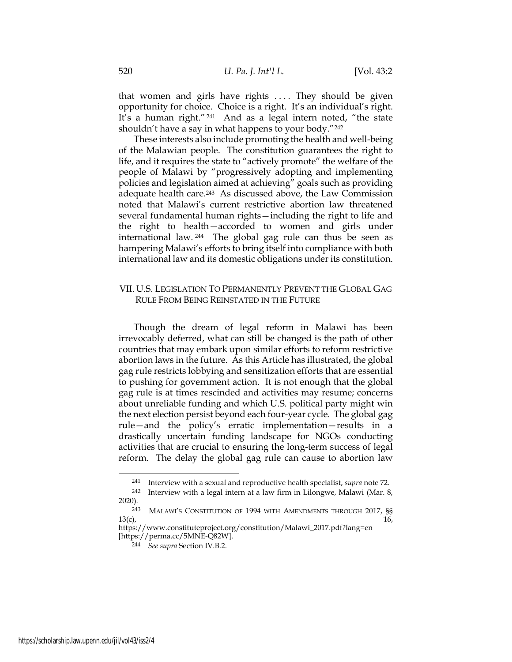that women and girls have rights .... They should be given opportunity for choice. Choice is a right. It's an individual's right. It's a human right." <sup>241</sup> And as a legal intern noted, "the state shouldn't have a say in what happens to your body."<sup>242</sup>

These interests also include promoting the health and well-being of the Malawian people. The constitution guarantees the right to life, and it requires the state to "actively promote" the welfare of the people of Malawi by "progressively adopting and implementing policies and legislation aimed at achieving" goals such as providing adequate health care.243 As discussed above, the Law Commission noted that Malawi's current restrictive abortion law threatened several fundamental human rights—including the right to life and the right to health—accorded to women and girls under international law. <sup>244</sup> The global gag rule can thus be seen as hampering Malawi's efforts to bring itself into compliance with both international law and its domestic obligations under its constitution.

## VII. U.S. LEGISLATION TO PERMANENTLY PREVENT THE GLOBAL GAG RULE FROM BEING REINSTATED IN THE FUTURE

Though the dream of legal reform in Malawi has been irrevocably deferred, what can still be changed is the path of other countries that may embark upon similar efforts to reform restrictive abortion laws in the future. As this Article has illustrated, the global gag rule restricts lobbying and sensitization efforts that are essential to pushing for government action. It is not enough that the global gag rule is at times rescinded and activities may resume; concerns about unreliable funding and which U.S. political party might win the next election persist beyond each four-year cycle. The global gag rule—and the policy's erratic implementation—results in a drastically uncertain funding landscape for NGOs conducting activities that are crucial to ensuring the long-term success of legal reform. The delay the global gag rule can cause to abortion law

<sup>241</sup> Interview with a sexual and reproductive health specialist, supra note 72.

<sup>242</sup> Interview with a legal intern at a law firm in Lilongwe, Malawi (Mar. 8, 2020).

<sup>&</sup>lt;sup>243</sup> MALAWI'S CONSTITUTION OF 1994 WITH AMENDMENTS THROUGH 2017, SS 13(c).  $13(c),$  13(c),

https://www.constituteproject.org/constitution/Malawi\_2017.pdf?lang=en [https://perma.cc/5MNE-Q82W].

<sup>244</sup> See supra Section IV.B.2.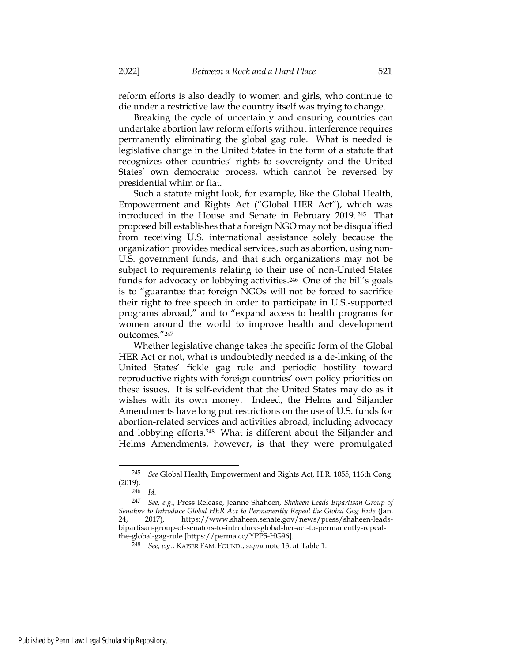reform efforts is also deadly to women and girls, who continue to die under a restrictive law the country itself was trying to change.

Breaking the cycle of uncertainty and ensuring countries can undertake abortion law reform efforts without interference requires permanently eliminating the global gag rule. What is needed is legislative change in the United States in the form of a statute that recognizes other countries' rights to sovereignty and the United States' own democratic process, which cannot be reversed by presidential whim or fiat.

Such a statute might look, for example, like the Global Health, Empowerment and Rights Act ("Global HER Act"), which was introduced in the House and Senate in February 2019. <sup>245</sup> That proposed bill establishes that a foreign NGO may not be disqualified from receiving U.S. international assistance solely because the organization provides medical services, such as abortion, using non-U.S. government funds, and that such organizations may not be subject to requirements relating to their use of non-United States funds for advocacy or lobbying activities.246 One of the bill's goals is to "guarantee that foreign NGOs will not be forced to sacrifice their right to free speech in order to participate in U.S.-supported programs abroad," and to "expand access to health programs for women around the world to improve health and development outcomes."<sup>247</sup>

Whether legislative change takes the specific form of the Global HER Act or not, what is undoubtedly needed is a de-linking of the United States' fickle gag rule and periodic hostility toward reproductive rights with foreign countries' own policy priorities on these issues. It is self-evident that the United States may do as it wishes with its own money. Indeed, the Helms and Siljander Amendments have long put restrictions on the use of U.S. funds for abortion-related services and activities abroad, including advocacy and lobbying efforts.248 What is different about the Siljander and Helms Amendments, however, is that they were promulgated

<sup>245</sup> See Global Health, Empowerment and Rights Act, H.R. 1055, 116th Cong. (2019).

<sup>246</sup> Id.

<sup>247</sup> See, e.g., Press Release, Jeanne Shaheen, Shaheen Leads Bipartisan Group of Senators to Introduce Global HER Act to Permanently Repeal the Global Gag Rule (Jan. 24, 2017), https://www.shaheen.senate.gov/news/press/shaheen-leadsbipartisan-group-of-senators-to-introduce-global-her-act-to-permanently-repealthe-global-gag-rule [https://perma.cc/YPP5-HG96].

<sup>248</sup> See, e.g., KAISER FAM. FOUND., supra note 13, at Table 1.